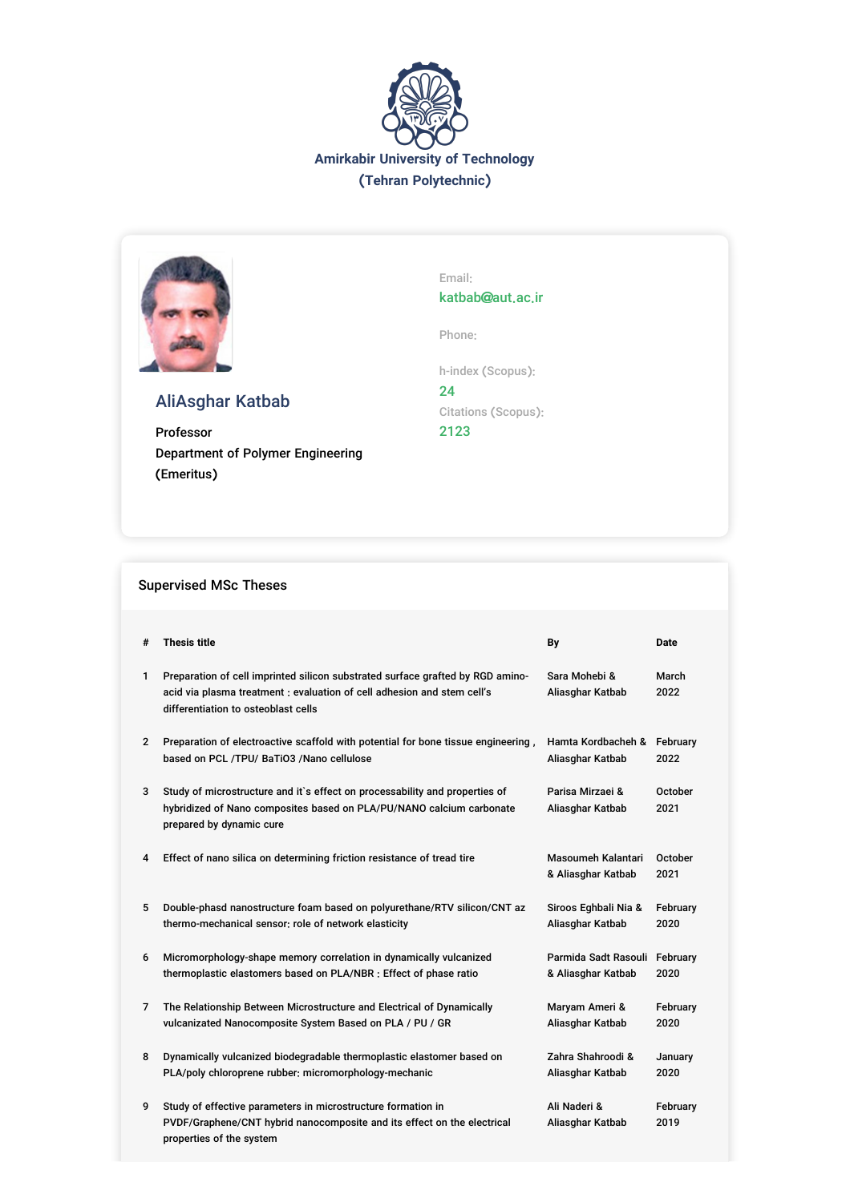



# AliAsghar Katbab

Professor Department of Polymer Engineering (Emeritus)

Email: katbab@aut.ac.ir

Phone:

h-index (Scopus): 24 Citations (Scopus): 2123

### Supervised MSc Theses

| #              | <b>Thesis title</b>                                                                                                                                                                              | By                                       | <b>Date</b>      |
|----------------|--------------------------------------------------------------------------------------------------------------------------------------------------------------------------------------------------|------------------------------------------|------------------|
| $\mathbf{1}$   | Preparation of cell imprinted silicon substrated surface grafted by RGD amino-<br>acid via plasma treatment : evaluation of cell adhesion and stem cell's<br>differentiation to osteoblast cells | Sara Mohebi &<br>Aliasghar Katbab        | March<br>2022    |
| $\overline{2}$ | Preparation of electroactive scaffold with potential for bone tissue engineering,                                                                                                                | Hamta Kordbacheh &                       | February         |
|                | based on PCL /TPU/ BaTiO3 /Nano cellulose                                                                                                                                                        | Aliasghar Katbab                         | 2022             |
| 3              | Study of microstructure and it's effect on processability and properties of<br>hybridized of Nano composites based on PLA/PU/NANO calcium carbonate<br>prepared by dynamic cure                  | Parisa Mirzaei &<br>Aliasghar Katbab     | October<br>2021  |
| 4              | Effect of nano silica on determining friction resistance of tread tire                                                                                                                           | Masoumeh Kalantari<br>& Aliasghar Katbab | October<br>2021  |
| 5              | Double-phasd nanostructure foam based on polyurethane/RTV silicon/CNT az                                                                                                                         | Siroos Eghbali Nia &                     | February         |
|                | thermo-mechanical sensor; role of network elasticity                                                                                                                                             | Aliasghar Katbab                         | 2020             |
| 6              | Micromorphology-shape memory correlation in dynamically vulcanized                                                                                                                               | Parmida Sadt Rasouli                     | February         |
|                | thermoplastic elastomers based on PLA/NBR : Effect of phase ratio                                                                                                                                | & Aliasghar Katbab                       | 2020             |
| 7              | The Relationship Between Microstructure and Electrical of Dynamically                                                                                                                            | Maryam Ameri &                           | February         |
|                | vulcanizated Nanocomposite System Based on PLA / PU / GR                                                                                                                                         | Aliasghar Katbab                         | 2020             |
| 8              | Dynamically vulcanized biodegradable thermoplastic elastomer based on                                                                                                                            | Zahra Shahroodi &                        | January          |
|                | PLA/poly chloroprene rubber: micromorphology-mechanic                                                                                                                                            | Aliasghar Katbab                         | 2020             |
| 9              | Study of effective parameters in microstructure formation in<br>PVDF/Graphene/CNT hybrid nanocomposite and its effect on the electrical<br>properties of the system                              | Ali Naderi &<br>Aliasghar Katbab         | February<br>2019 |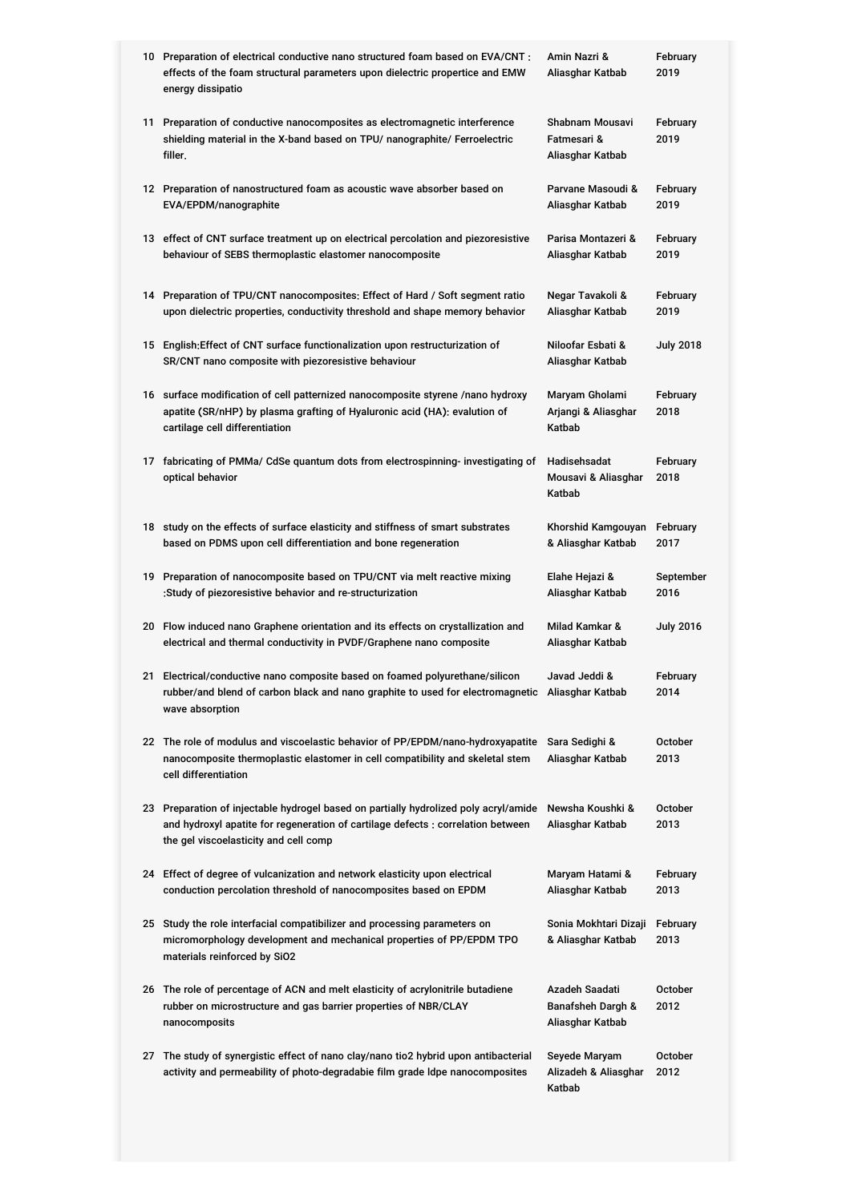| 10 Preparation of electrical conductive nano structured foam based on EVA/CNT:<br>effects of the foam structural parameters upon dielectric propertice and EMW<br>energy dissipatio                               | Amin Nazri &<br>Aliasghar Katbab                                   | February<br>2019       |
|-------------------------------------------------------------------------------------------------------------------------------------------------------------------------------------------------------------------|--------------------------------------------------------------------|------------------------|
| 11 Preparation of conductive nanocomposites as electromagnetic interference<br>shielding material in the X-band based on TPU/ nanographite/ Ferroelectric<br>filler.                                              | Shabnam Mousavi<br>Fatmesari &<br>Aliasghar Katbab                 | February<br>2019       |
| 12 Preparation of nanostructured foam as acoustic wave absorber based on<br>EVA/EPDM/nanographite                                                                                                                 | Parvane Masoudi &<br>Aliasghar Katbab                              | February<br>2019       |
| 13 effect of CNT surface treatment up on electrical percolation and piezoresistive<br>behaviour of SEBS thermoplastic elastomer nanocomposite                                                                     | Parisa Montazeri &<br>Aliasghar Katbab                             | February<br>2019       |
| 14 Preparation of TPU/CNT nanocomposites: Effect of Hard / Soft segment ratio<br>upon dielectric properties, conductivity threshold and shape memory behavior                                                     | Negar Tavakoli &<br>Aliasghar Katbab                               | February<br>2019       |
| 15 English: Effect of CNT surface functionalization upon restructurization of<br>SR/CNT nano composite with piezoresistive behaviour                                                                              | Niloofar Esbati &<br>Aliasghar Katbab                              | <b>July 2018</b>       |
| 16 surface modification of cell patternized nanocomposite styrene /nano hydroxy<br>apatite (SR/nHP) by plasma grafting of Hyaluronic acid (HA): evalution of<br>cartilage cell differentiation                    | Maryam Gholami<br>Arjangi & Aliasghar<br>Katbab                    | February<br>2018       |
| 17 fabricating of PMMa/ CdSe quantum dots from electrospinning- investigating of<br>optical behavior                                                                                                              | Hadisehsadat<br>Mousavi & Aliasghar<br>Katbab                      | February<br>2018       |
| 18 study on the effects of surface elasticity and stiffness of smart substrates<br>based on PDMS upon cell differentiation and bone regeneration                                                                  | Khorshid Kamgouyan<br>& Aliasghar Katbab                           | February<br>2017       |
| 19 Preparation of nanocomposite based on TPU/CNT via melt reactive mixing<br>:Study of piezoresistive behavior and re-structurization                                                                             | Elahe Hejazi &<br>Aliasghar Katbab                                 | September<br>2016      |
| 20 Flow induced nano Graphene orientation and its effects on crystallization and<br>electrical and thermal conductivity in PVDF/Graphene nano composite                                                           | Milad Kamkar &<br>Aliasghar Katbab                                 | <b>July 2016</b>       |
| 21 Electrical/conductive nano composite based on foamed polyurethane/silicon<br>rubber/and blend of carbon black and nano graphite to used for electromagnetic Aliasghar Katbab<br>wave absorption                | Javad Jeddi &                                                      | February<br>2014       |
| 22 The role of modulus and viscoelastic behavior of PP/EPDM/nano-hydroxyapatite<br>nanocomposite thermoplastic elastomer in cell compatibility and skeletal stem<br>cell differentiation                          | Sara Sedighi &<br>Aliasghar Katbab                                 | <b>October</b><br>2013 |
| 23 Preparation of injectable hydrogel based on partially hydrolized poly acryl/amide<br>and hydroxyl apatite for regeneration of cartilage defects : correlation between<br>the gel viscoelasticity and cell comp | Newsha Koushki &<br>Aliasghar Katbab                               | October<br>2013        |
| 24 Effect of degree of vulcanization and network elasticity upon electrical<br>conduction percolation threshold of nanocomposites based on EPDM                                                                   | Maryam Hatami &<br>Aliasghar Katbab                                | February<br>2013       |
| 25 Study the role interfacial compatibilizer and processing parameters on<br>micromorphology development and mechanical properties of PP/EPDM TPO<br>materials reinforced by SiO2                                 | Sonia Mokhtari Dizaji<br>& Aliasghar Katbab                        | February<br>2013       |
| 26 The role of percentage of ACN and melt elasticity of acrylonitrile butadiene<br>rubber on microstructure and gas barrier properties of NBR/CLAY<br>nanocomposits                                               | Azadeh Saadati<br><b>Banafsheh Dargh &amp;</b><br>Aliasghar Katbab | October<br>2012        |
| 27 The study of synergistic effect of nano clay/nano tio2 hybrid upon antibacterial<br>activity and permeability of photo-degradabie film grade Idpe nanocomposites                                               | Seyede Maryam<br>Alizadeh & Aliasghar<br>Katbab                    | October<br>2012        |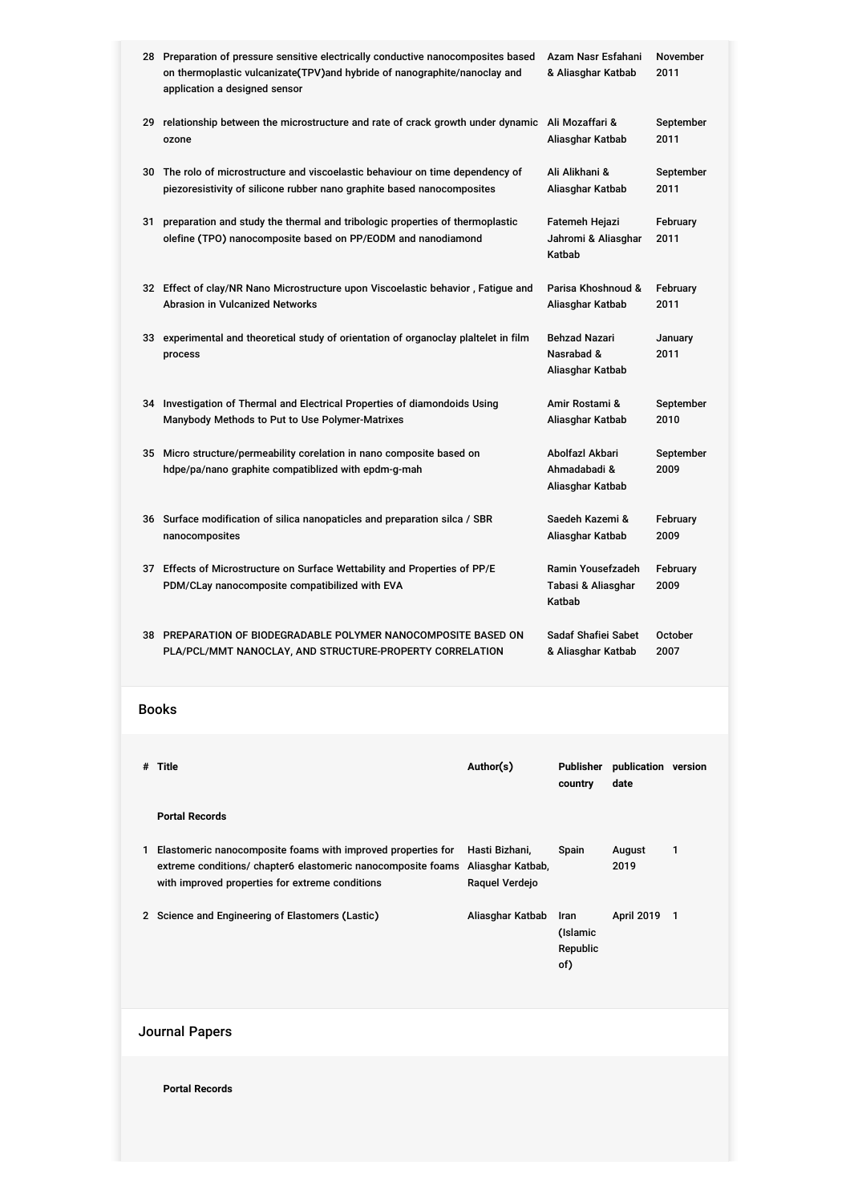|       | 28 Preparation of pressure sensitive electrically conductive nanocomposites based<br>on thermoplastic vulcanizate(TPV)and hybride of nanographite/nanoclay and<br>application a designed sensor | Azam Nasr Esfahani<br>& Aliasghar Katbab              |                                                   | <b>November</b><br>2011                                |                          |                   |  |
|-------|-------------------------------------------------------------------------------------------------------------------------------------------------------------------------------------------------|-------------------------------------------------------|---------------------------------------------------|--------------------------------------------------------|--------------------------|-------------------|--|
|       | 29 relationship between the microstructure and rate of crack growth under dynamic Ali Mozaffari &<br>ozone                                                                                      |                                                       |                                                   | Aliasghar Katbab                                       |                          | September<br>2011 |  |
|       | 30 The rolo of microstructure and viscoelastic behaviour on time dependency of<br>piezoresistivity of silicone rubber nano graphite based nanocomposites                                        |                                                       |                                                   | Ali Alikhani &<br>Aliasghar Katbab                     | 2011                     | September         |  |
| 31    | preparation and study the thermal and tribologic properties of thermoplastic<br>olefine (TPO) nanocomposite based on PP/EODM and nanodiamond                                                    |                                                       |                                                   | Fatemeh Hejazi<br>Jahromi & Aliasghar<br>Katbab        |                          | February<br>2011  |  |
|       | 32 Effect of clay/NR Nano Microstructure upon Viscoelastic behavior, Fatigue and<br><b>Abrasion in Vulcanized Networks</b>                                                                      |                                                       |                                                   | Parisa Khoshnoud &<br>Aliasghar Katbab                 |                          | February<br>2011  |  |
|       | 33 experimental and theoretical study of orientation of organoclay plaitelet in film<br>process                                                                                                 |                                                       |                                                   | <b>Behzad Nazari</b><br>Nasrabad &<br>Aliasghar Katbab |                          | January<br>2011   |  |
|       | 34 Investigation of Thermal and Electrical Properties of diamondoids Using<br>Manybody Methods to Put to Use Polymer-Matrixes                                                                   |                                                       |                                                   | Amir Rostami &<br>Aliasghar Katbab                     |                          | September<br>2010 |  |
| 35    | Micro structure/permeability corelation in nano composite based on<br>hdpe/pa/nano graphite compatiblized with epdm-g-mah                                                                       |                                                       |                                                   | Abolfazl Akbari<br>Ahmadabadi &<br>Aliasghar Katbab    |                          | September<br>2009 |  |
|       | 36 Surface modification of silica nanopaticles and preparation silca / SBR<br>nanocomposites                                                                                                    |                                                       |                                                   | Saedeh Kazemi &<br>Aliasghar Katbab                    |                          |                   |  |
|       | 37 Effects of Microstructure on Surface Wettability and Properties of PP/E<br>PDM/CLay nanocomposite compatibilized with EVA                                                                    |                                                       | Ramin Yousefzadeh<br>Tabasi & Aliasghar<br>Katbab |                                                        | February<br>2009         |                   |  |
|       | 38 PREPARATION OF BIODEGRADABLE POLYMER NANOCOMPOSITE BASED ON<br>PLA/PCL/MMT NANOCLAY, AND STRUCTURE-PROPERTY CORRELATION                                                                      |                                                       | Sadaf Shafiei Sabet<br>& Aliasghar Katbab         |                                                        | <b>October</b><br>2007   |                   |  |
| Books |                                                                                                                                                                                                 |                                                       |                                                   |                                                        |                          |                   |  |
|       | # Title                                                                                                                                                                                         | Author(s)                                             | Publisher publication version<br>country          | date                                                   |                          |                   |  |
|       | <b>Portal Records</b>                                                                                                                                                                           |                                                       |                                                   |                                                        |                          |                   |  |
|       | 1 Elastomeric nanocomposite foams with improved properties for<br>extreme conditions/ chapter6 elastomeric nanocomposite foams<br>with improved properties for extreme conditions               | Hasti Bizhani,<br>Aliasghar Katbab,<br>Raquel Verdejo | Spain                                             | August<br>2019                                         | 1                        |                   |  |
|       | 2 Science and Engineering of Elastomers (Lastic)                                                                                                                                                | Aliasghar Katbab                                      | Iran<br>(Islamic<br>Republic<br>of)               | <b>April 2019</b>                                      | $\overline{\phantom{1}}$ |                   |  |
|       |                                                                                                                                                                                                 |                                                       |                                                   |                                                        |                          |                   |  |

## Journal Papers

**Portal Records**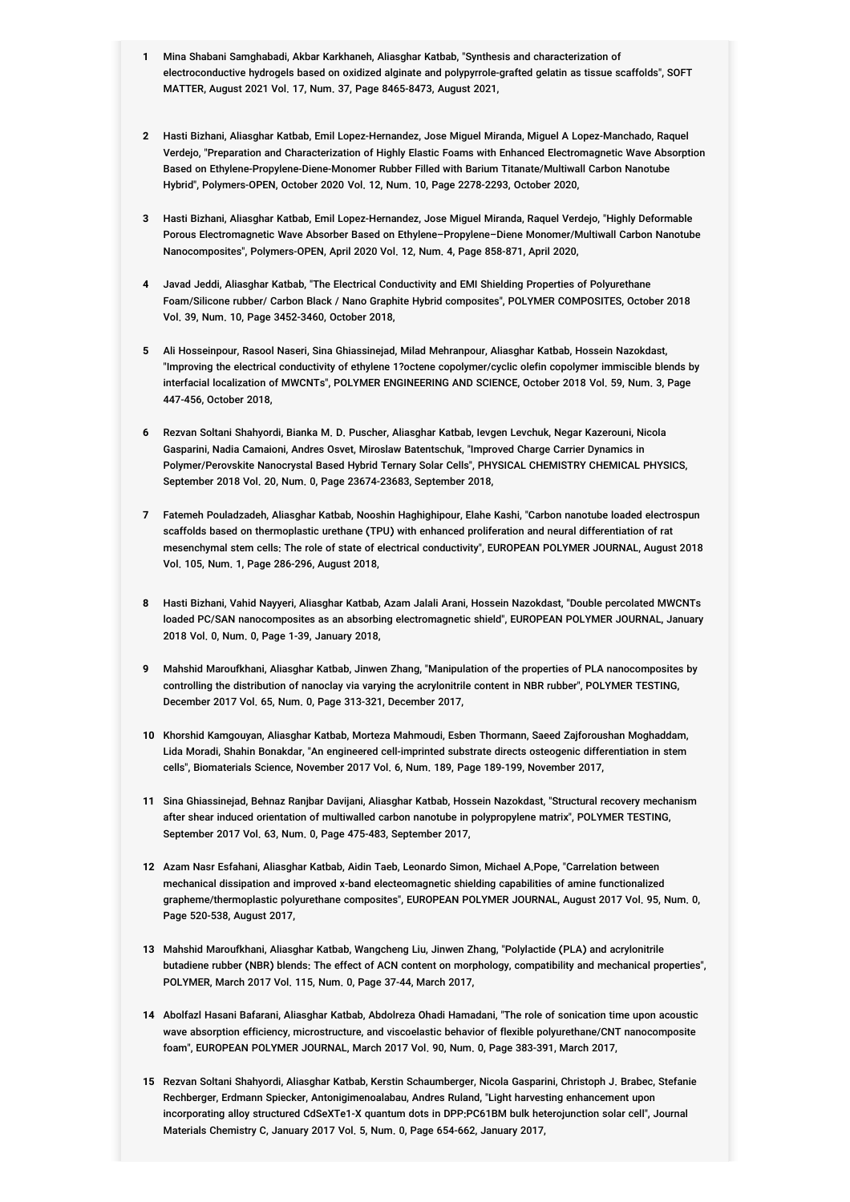- **1** Mina Shabani Samghabadi, Akbar Karkhaneh, Aliasghar Katbab, "Synthesis and characterization of electroconductive hydrogels based on oxidized alginate and polypyrrole-grafted gelatin as tissue scaffolds", SOFT MATTER, August 2021 Vol. 17, Num. 37, Page 8465-8473, August 2021,
- **2** Hasti Bizhani, Aliasghar Katbab, Emil Lopez-Hernandez, Jose Miguel Miranda, Miguel A Lopez-Manchado, Raquel Verdejo, "Preparation and Characterization of Highly Elastic Foams with Enhanced Electromagnetic Wave Absorption Based on Ethylene-Propylene-Diene-Monomer Rubber Filled with Barium Titanate/Multiwall Carbon Nanotube Hybrid", Polymers-OPEN, October 2020 Vol. 12, Num. 10, Page 2278-2293, October 2020,
- **3** Hasti Bizhani, Aliasghar Katbab, Emil Lopez-Hernandez, Jose Miguel Miranda, Raquel Verdejo, "Highly Deformable Porous Electromagnetic Wave Absorber Based on Ethylene–Propylene–Diene Monomer/Multiwall Carbon Nanotube Nanocomposites", Polymers-OPEN, April 2020 Vol. 12, Num. 4, Page 858-871, April 2020,
- **4** Javad Jeddi, Aliasghar Katbab, "The Electrical Conductivity and EMI Shielding Properties of Polyurethane Foam/Silicone rubber/ Carbon Black / Nano Graphite Hybrid composites", POLYMER COMPOSITES, October 2018 Vol. 39, Num. 10, Page 3452-3460, October 2018,
- **5** Ali Hosseinpour, Rasool Naseri, Sina Ghiassinejad, Milad Mehranpour, Aliasghar Katbab, Hossein Nazokdast, "Improving the electrical conductivity of ethylene 1?octene copolymer/cyclic olefin copolymer immiscible blends by interfacial localization of MWCNTs", POLYMER ENGINEERING AND SCIENCE, October 2018 Vol. 59, Num. 3, Page 447-456, October 2018,
- **6** Rezvan Soltani Shahyordi, Bianka M. D. Puscher, Aliasghar Katbab, Ievgen Levchuk, Negar Kazerouni, Nicola Gasparini, Nadia Camaioni, Andres Osvet, Miroslaw Batentschuk, "Improved Charge Carrier Dynamics in Polymer/Perovskite Nanocrystal Based Hybrid Ternary Solar Cells", PHYSICAL CHEMISTRY CHEMICAL PHYSICS, September 2018 Vol. 20, Num. 0, Page 23674-23683, September 2018,
- **7** Fatemeh Pouladzadeh, Aliasghar Katbab, Nooshin Haghighipour, Elahe Kashi, "Carbon nanotube loaded electrospun scaffolds based on thermoplastic urethane (TPU) with enhanced proliferation and neural differentiation of rat mesenchymal stem cells: The role of state of electrical conductivity", EUROPEAN POLYMER JOURNAL, August 2018 Vol. 105, Num. 1, Page 286-296, August 2018,
- **8** Hasti Bizhani, Vahid Nayyeri, Aliasghar Katbab, Azam Jalali Arani, Hossein Nazokdast, "Double percolated MWCNTs loaded PC/SAN nanocomposites as an absorbing electromagnetic shield", EUROPEAN POLYMER JOURNAL, January 2018 Vol. 0, Num. 0, Page 1-39, January 2018,
- **9** Mahshid Maroufkhani, Aliasghar Katbab, Jinwen Zhang, "Manipulation of the properties of PLA nanocomposites by controlling the distribution of nanoclay via varying the acrylonitrile content in NBR rubber", POLYMER TESTING, December 2017 Vol. 65, Num. 0, Page 313-321, December 2017,
- **10** Khorshid Kamgouyan, Aliasghar Katbab, Morteza Mahmoudi, Esben Thormann, Saeed Zajforoushan Moghaddam, Lida Moradi, Shahin Bonakdar, "An engineered cell-imprinted substrate directs osteogenic differentiation in stem cells", Biomaterials Science, November 2017 Vol. 6, Num. 189, Page 189-199, November 2017,
- **11** Sina Ghiassinejad, Behnaz Ranjbar Davijani, Aliasghar Katbab, Hossein Nazokdast, "Structural recovery mechanism after shear induced orientation of multiwalled carbon nanotube in polypropylene matrix", POLYMER TESTING, September 2017 Vol. 63, Num. 0, Page 475-483, September 2017,
- **12** Azam Nasr Esfahani, Aliasghar Katbab, Aidin Taeb, Leonardo Simon, Michael A.Pope, "Carrelation between mechanical dissipation and improved x-band electeomagnetic shielding capabilities of amine functionalized grapheme/thermoplastic polyurethane composites", EUROPEAN POLYMER JOURNAL, August 2017 Vol. 95, Num. 0, Page 520-538, August 2017,
- **13** Mahshid Maroufkhani, Aliasghar Katbab, Wangcheng Liu, Jinwen Zhang, "Polylactide (PLA) and acrylonitrile butadiene rubber (NBR) blends: The effect of ACN content on morphology, compatibility and mechanical properties", POLYMER, March 2017 Vol. 115, Num. 0, Page 37-44, March 2017,
- **14** Abolfazl Hasani Bafarani, Aliasghar Katbab, Abdolreza Ohadi Hamadani, "The role of sonication time upon acoustic wave absorption efficiency, microstructure, and viscoelastic behavior of flexible polyurethane/CNT nanocomposite foam", EUROPEAN POLYMER JOURNAL, March 2017 Vol. 90, Num. 0, Page 383-391, March 2017,
- **15** Rezvan Soltani Shahyordi, Aliasghar Katbab, Kerstin Schaumberger, Nicola Gasparini, Christoph J. Brabec, Stefanie Rechberger, Erdmann Spiecker, Antonigimenoalabau, Andres Ruland, "Light harvesting enhancement upon incorporating alloy structured CdSeXTe1-X quantum dots in DPP:PC61BM bulk heterojunction solar cell", Journal Materials Chemistry C, January 2017 Vol. 5, Num. 0, Page 654-662, January 2017,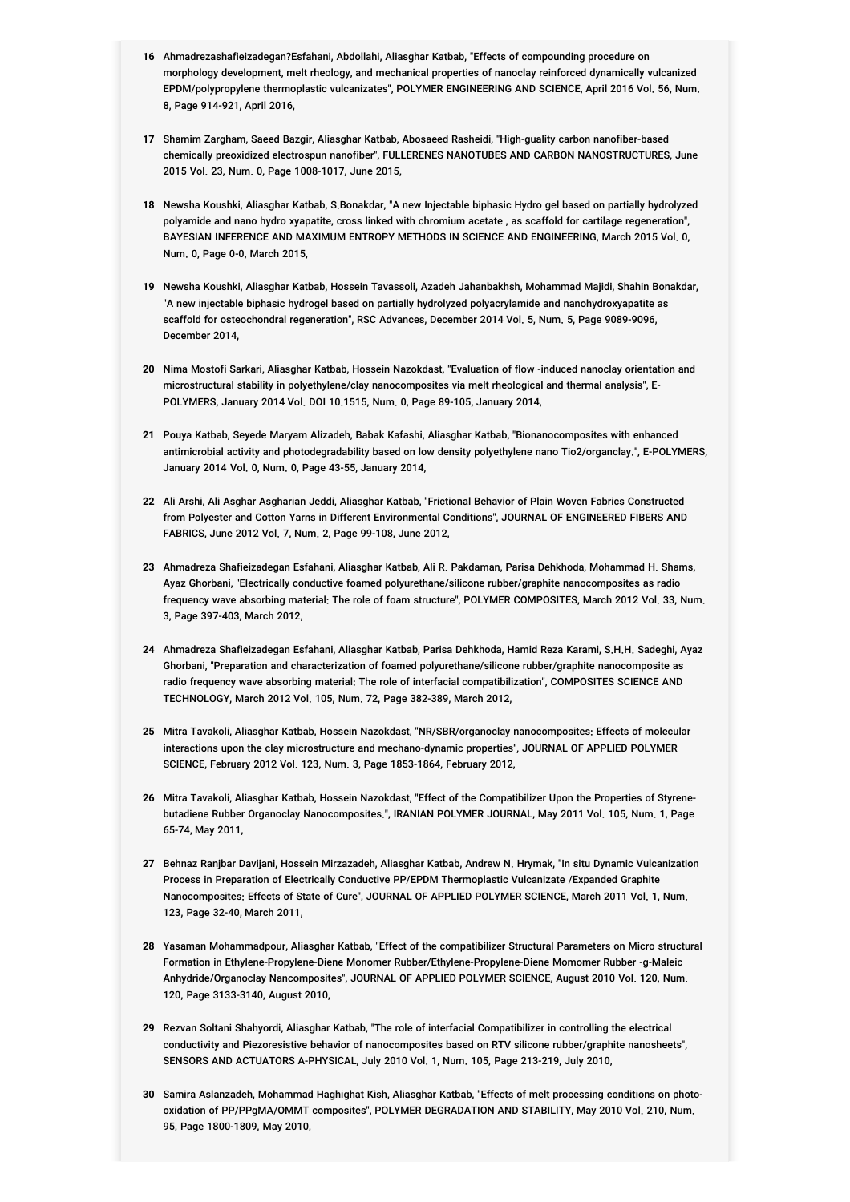- **16** Ahmadrezashafieizadegan?Esfahani, Abdollahi, Aliasghar Katbab, "Effects of compounding procedure on morphology development, melt rheology, and mechanical properties of nanoclay reinforced dynamically vulcanized EPDM/polypropylene thermoplastic vulcanizates", POLYMER ENGINEERING AND SCIENCE, April 2016 Vol. 56, Num. 8, Page 914-921, April 2016,
- **17** Shamim Zargham, Saeed Bazgir, Aliasghar Katbab, Abosaeed Rasheidi, "High-guality carbon nanofiber-based chemically preoxidized electrospun nanofiber", FULLERENES NANOTUBES AND CARBON NANOSTRUCTURES, June 2015 Vol. 23, Num. 0, Page 1008-1017, June 2015,
- **18** Newsha Koushki, Aliasghar Katbab, S.Bonakdar, "A new Injectable biphasic Hydro gel based on partially hydrolyzed polyamide and nano hydro xyapatite, cross linked with chromium acetate , as scaffold for cartilage regeneration", BAYESIAN INFERENCE AND MAXIMUM ENTROPY METHODS IN SCIENCE AND ENGINEERING, March 2015 Vol. 0, Num. 0, Page 0-0, March 2015,
- **19** Newsha Koushki, Aliasghar Katbab, Hossein Tavassoli, Azadeh Jahanbakhsh, Mohammad Majidi, Shahin Bonakdar, "A new injectable biphasic hydrogel based on partially hydrolyzed polyacrylamide and nanohydroxyapatite as scaffold for osteochondral regeneration", RSC Advances, December 2014 Vol. 5, Num. 5, Page 9089-9096, December 2014,
- **20** Nima Mostofi Sarkari, Aliasghar Katbab, Hossein Nazokdast, "Evaluation of flow -induced nanoclay orientation and microstructural stability in polyethylene/clay nanocomposites via melt rheological and thermal analysis", E-POLYMERS, January 2014 Vol. DOI 10.1515, Num. 0, Page 89-105, January 2014,
- **21** Pouya Katbab, Seyede Maryam Alizadeh, Babak Kafashi, Aliasghar Katbab, "Bionanocomposites with enhanced antimicrobial activity and photodegradability based on low density polyethylene nano Tio2/organclay.", E-POLYMERS, January 2014 Vol. 0, Num. 0, Page 43-55, January 2014,
- **22** Ali Arshi, Ali Asghar Asgharian Jeddi, Aliasghar Katbab, "Frictional Behavior of Plain Woven Fabrics Constructed from Polyester and Cotton Yarns in Different Environmental Conditions", JOURNAL OF ENGINEERED FIBERS AND FABRICS, June 2012 Vol. 7, Num. 2, Page 99-108, June 2012,
- **23** Ahmadreza Shafieizadegan Esfahani, Aliasghar Katbab, Ali R. Pakdaman, Parisa Dehkhoda, Mohammad H. Shams, Ayaz Ghorbani, "Electrically conductive foamed polyurethane/silicone rubber/graphite nanocomposites as radio frequency wave absorbing material: The role of foam structure", POLYMER COMPOSITES, March 2012 Vol. 33, Num. 3, Page 397-403, March 2012,
- **24** Ahmadreza Shafieizadegan Esfahani, Aliasghar Katbab, Parisa Dehkhoda, Hamid Reza Karami, S.H.H. Sadeghi, Ayaz Ghorbani, "Preparation and characterization of foamed polyurethane/silicone rubber/graphite nanocomposite as radio frequency wave absorbing material: The role of interfacial compatibilization", COMPOSITES SCIENCE AND TECHNOLOGY, March 2012 Vol. 105, Num. 72, Page 382-389, March 2012,
- **25** Mitra Tavakoli, Aliasghar Katbab, Hossein Nazokdast, "NR/SBR/organoclay nanocomposites: Effects of molecular interactions upon the clay microstructure and mechano-dynamic properties", JOURNAL OF APPLIED POLYMER SCIENCE, February 2012 Vol. 123, Num. 3, Page 1853-1864, February 2012,
- **26** Mitra Tavakoli, Aliasghar Katbab, Hossein Nazokdast, "Effect of the Compatibilizer Upon the Properties of Styrenebutadiene Rubber Organoclay Nanocomposites.", IRANIAN POLYMER JOURNAL, May 2011 Vol. 105, Num. 1, Page 65-74, May 2011,
- **27** Behnaz Ranjbar Davijani, Hossein Mirzazadeh, Aliasghar Katbab, Andrew N. Hrymak, "In situ Dynamic Vulcanization Process in Preparation of Electrically Conductive PP/EPDM Thermoplastic Vulcanizate /Expanded Graphite Nanocomposites: Effects of State of Cure", JOURNAL OF APPLIED POLYMER SCIENCE, March 2011 Vol. 1, Num. 123, Page 32-40, March 2011,
- **28** Yasaman Mohammadpour, Aliasghar Katbab, "Effect of the compatibilizer Structural Parameters on Micro structural Formation in Ethylene-Propylene-Diene Monomer Rubber/Ethylene-Propylene-Diene Momomer Rubber -g-Maleic Anhydride/Organoclay Nancomposites", JOURNAL OF APPLIED POLYMER SCIENCE, August 2010 Vol. 120, Num. 120, Page 3133-3140, August 2010,
- **29** Rezvan Soltani Shahyordi, Aliasghar Katbab, "The role of interfacial Compatibilizer in controlling the electrical conductivity and Piezoresistive behavior of nanocomposites based on RTV silicone rubber/graphite nanosheets", SENSORS AND ACTUATORS A-PHYSICAL, July 2010 Vol. 1, Num. 105, Page 213-219, July 2010,
- **30** Samira Aslanzadeh, Mohammad Haghighat Kish, Aliasghar Katbab, "Effects of melt processing conditions on photooxidation of PP/PPgMA/OMMT composites", POLYMER DEGRADATION AND STABILITY, May 2010 Vol. 210, Num. 95, Page 1800-1809, May 2010,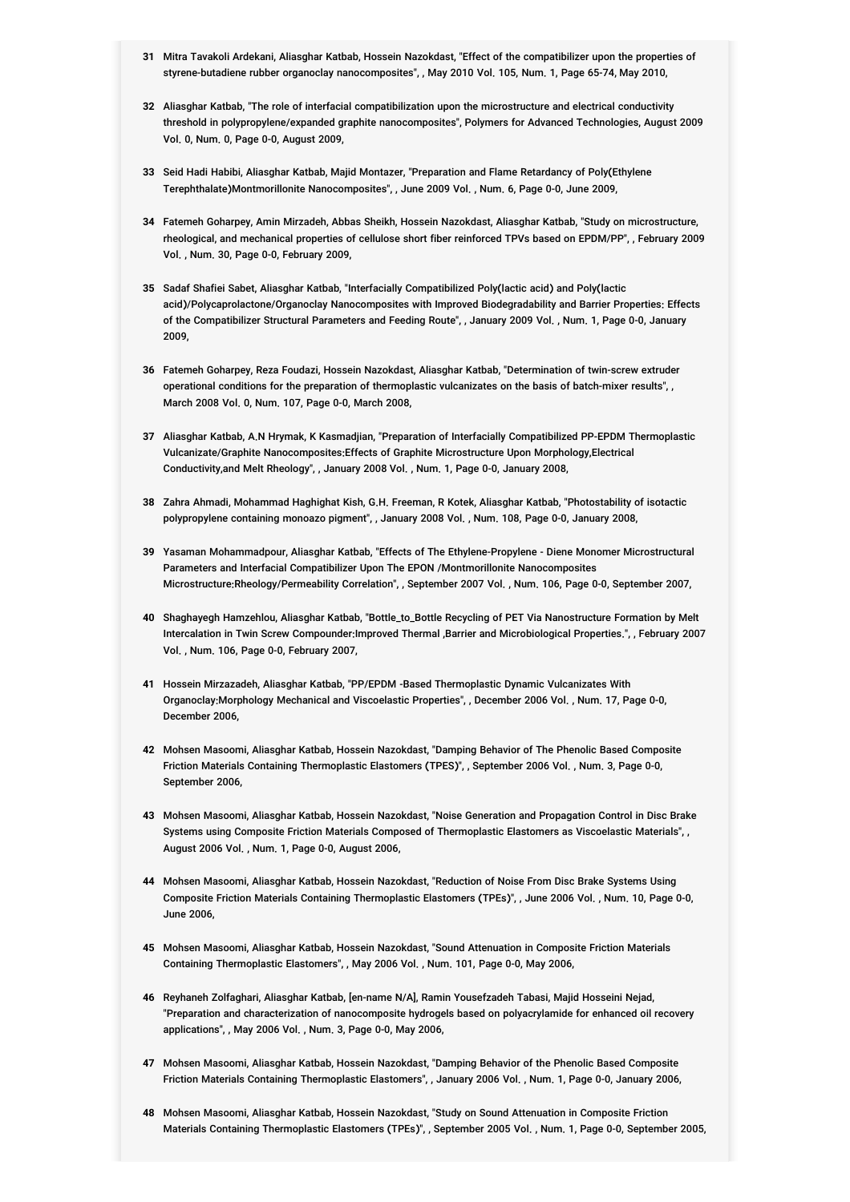- **31** Mitra Tavakoli Ardekani, Aliasghar Katbab, Hossein Nazokdast, "Effect of the compatibilizer upon the properties of styrene-butadiene rubber organoclay nanocomposites", , May 2010 Vol. 105, Num. 1, Page 65-74, May 2010,
- **32** Aliasghar Katbab, "The role of interfacial compatibilization upon the microstructure and electrical conductivity threshold in polypropylene/expanded graphite nanocomposites", Polymers for Advanced Technologies, August 2009 Vol. 0, Num. 0, Page 0-0, August 2009,
- **33** Seid Hadi Habibi, Aliasghar Katbab, Majid Montazer, "Preparation and Flame Retardancy of Poly(Ethylene Terephthalate)Montmorillonite Nanocomposites", , June 2009 Vol. , Num. 6, Page 0-0, June 2009,
- **34** Fatemeh Goharpey, Amin Mirzadeh, Abbas Sheikh, Hossein Nazokdast, Aliasghar Katbab, "Study on microstructure, rheological, and mechanical properties of cellulose short fiber reinforced TPVs based on EPDM/PP", , February 2009 Vol. , Num. 30, Page 0-0, February 2009,
- **35** Sadaf Shafiei Sabet, Aliasghar Katbab, "Interfacially Compatibilized Poly(lactic acid) and Poly(lactic acid)/Polycaprolactone/Organoclay Nanocomposites with Improved Biodegradability and Barrier Properties: Effects of the Compatibilizer Structural Parameters and Feeding Route", , January 2009 Vol. , Num. 1, Page 0-0, January 2009,
- **36** Fatemeh Goharpey, Reza Foudazi, Hossein Nazokdast, Aliasghar Katbab, "Determination of twin-screw extruder operational conditions for the preparation of thermoplastic vulcanizates on the basis of batch-mixer results", , March 2008 Vol. 0, Num. 107, Page 0-0, March 2008,
- **37** Aliasghar Katbab, A.N Hrymak, K Kasmadjian, "Preparation of Interfacially Compatibilized PP-EPDM Thermoplastic Vulcanizate/Graphite Nanocomposites:Effects of Graphite Microstructure Upon Morphology,Electrical Conductivity,and Melt Rheology", , January 2008 Vol. , Num. 1, Page 0-0, January 2008,
- **38** Zahra Ahmadi, Mohammad Haghighat Kish, G.H. Freeman, R Kotek, Aliasghar Katbab, "Photostability of isotactic polypropylene containing monoazo pigment", , January 2008 Vol. , Num. 108, Page 0-0, January 2008,
- **39** Yasaman Mohammadpour, Aliasghar Katbab, "Effects of The Ethylene-Propylene Diene Monomer Microstructural Parameters and Interfacial Compatibilizer Upon The EPON /Montmorillonite Nanocomposites Microstructure:Rheology/Permeability Correlation", , September 2007 Vol. , Num. 106, Page 0-0, September 2007,
- **40** Shaghayegh Hamzehlou, Aliasghar Katbab, "Bottle\_to\_Bottle Recycling of PET Via Nanostructure Formation by Melt Intercalation in Twin Screw Compounder:Improved Thermal ,Barrier and Microbiological Properties.", , February 2007 Vol. , Num. 106, Page 0-0, February 2007,
- **41** Hossein Mirzazadeh, Aliasghar Katbab, "PP/EPDM -Based Thermoplastic Dynamic Vulcanizates With Organoclay:Morphology Mechanical and Viscoelastic Properties", , December 2006 Vol. , Num. 17, Page 0-0, December 2006,
- **42** Mohsen Masoomi, Aliasghar Katbab, Hossein Nazokdast, "Damping Behavior of The Phenolic Based Composite Friction Materials Containing Thermoplastic Elastomers (TPES)", , September 2006 Vol. , Num. 3, Page 0-0, September 2006,
- **43** Mohsen Masoomi, Aliasghar Katbab, Hossein Nazokdast, "Noise Generation and Propagation Control in Disc Brake Systems using Composite Friction Materials Composed of Thermoplastic Elastomers as Viscoelastic Materials", , August 2006 Vol. , Num. 1, Page 0-0, August 2006,
- **44** Mohsen Masoomi, Aliasghar Katbab, Hossein Nazokdast, "Reduction of Noise From Disc Brake Systems Using Composite Friction Materials Containing Thermoplastic Elastomers (TPEs)", , June 2006 Vol. , Num. 10, Page 0-0, June 2006,
- **45** Mohsen Masoomi, Aliasghar Katbab, Hossein Nazokdast, "Sound Attenuation in Composite Friction Materials Containing Thermoplastic Elastomers", , May 2006 Vol. , Num. 101, Page 0-0, May 2006,
- **46** Reyhaneh Zolfaghari, Aliasghar Katbab, [en-name N/A], Ramin Yousefzadeh Tabasi, Majid Hosseini Nejad, "Preparation and characterization of nanocomposite hydrogels based on polyacrylamide for enhanced oil recovery applications", , May 2006 Vol. , Num. 3, Page 0-0, May 2006,
- **47** Mohsen Masoomi, Aliasghar Katbab, Hossein Nazokdast, "Damping Behavior of the Phenolic Based Composite Friction Materials Containing Thermoplastic Elastomers", , January 2006 Vol. , Num. 1, Page 0-0, January 2006,
- **48** Mohsen Masoomi, Aliasghar Katbab, Hossein Nazokdast, "Study on Sound Attenuation in Composite Friction Materials Containing Thermoplastic Elastomers (TPEs)", , September 2005 Vol. , Num. 1, Page 0-0, September 2005,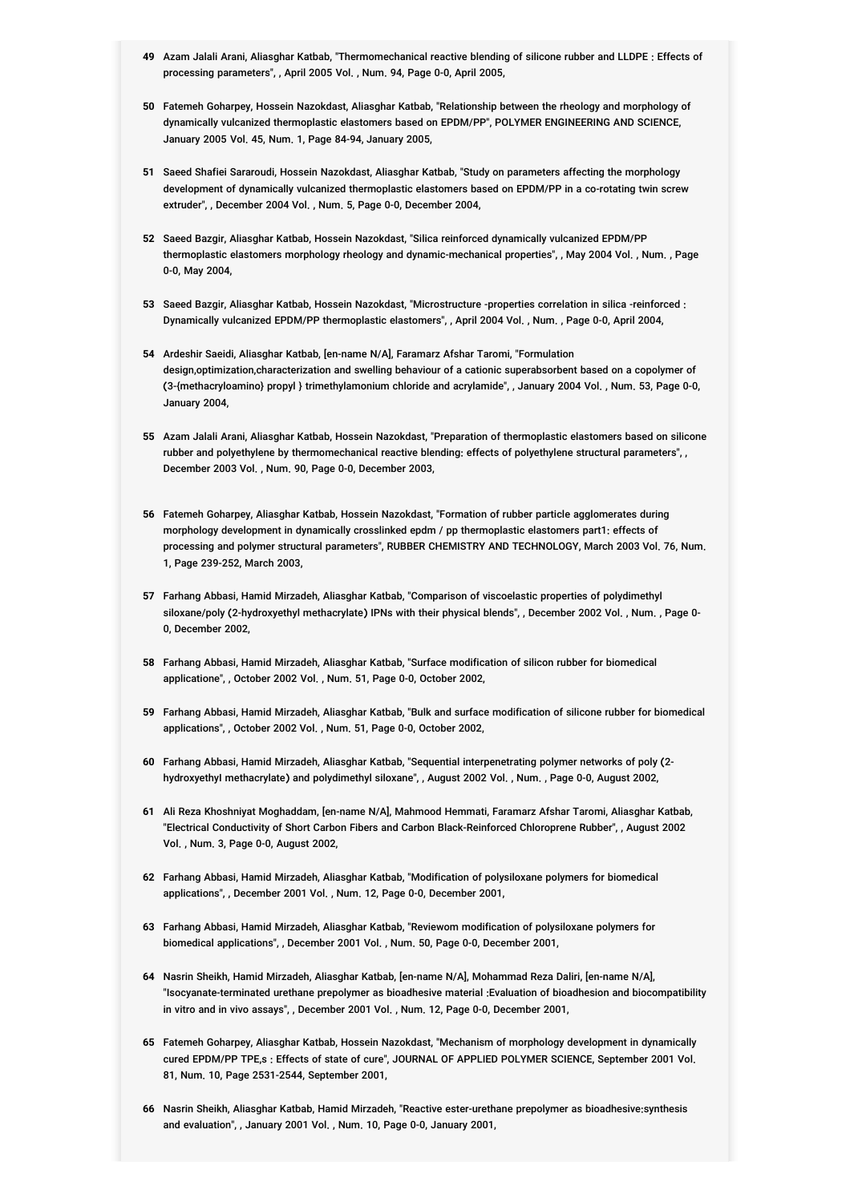- **49** Azam Jalali Arani, Aliasghar Katbab, "Thermomechanical reactive blending of silicone rubber and LLDPE : Effects of processing parameters", , April 2005 Vol. , Num. 94, Page 0-0, April 2005,
- **50** Fatemeh Goharpey, Hossein Nazokdast, Aliasghar Katbab, "Relationship between the rheology and morphology of dynamically vulcanized thermoplastic elastomers based on EPDM/PP", POLYMER ENGINEERING AND SCIENCE, January 2005 Vol. 45, Num. 1, Page 84-94, January 2005,
- **51** Saeed Shafiei Sararoudi, Hossein Nazokdast, Aliasghar Katbab, "Study on parameters affecting the morphology development of dynamically vulcanized thermoplastic elastomers based on EPDM/PP in a co-rotating twin screw extruder", , December 2004 Vol. , Num. 5, Page 0-0, December 2004,
- **52** Saeed Bazgir, Aliasghar Katbab, Hossein Nazokdast, "Silica reinforced dynamically vulcanized EPDM/PP thermoplastic elastomers morphology rheology and dynamic-mechanical properties", , May 2004 Vol. , Num. , Page 0-0, May 2004,
- **53** Saeed Bazgir, Aliasghar Katbab, Hossein Nazokdast, "Microstructure -properties correlation in silica -reinforced : Dynamically vulcanized EPDM/PP thermoplastic elastomers", , April 2004 Vol. , Num. , Page 0-0, April 2004,
- **54** Ardeshir Saeidi, Aliasghar Katbab, [en-name N/A], Faramarz Afshar Taromi, "Formulation design,optimization,characterization and swelling behaviour of a cationic superabsorbent based on a copolymer of (3-{methacryloamino} propyl } trimethylamonium chloride and acrylamide", , January 2004 Vol. , Num. 53, Page 0-0, January 2004,
- **55** Azam Jalali Arani, Aliasghar Katbab, Hossein Nazokdast, "Preparation of thermoplastic elastomers based on silicone rubber and polyethylene by thermomechanical reactive blending: effects of polyethylene structural parameters", , December 2003 Vol. , Num. 90, Page 0-0, December 2003,
- **56** Fatemeh Goharpey, Aliasghar Katbab, Hossein Nazokdast, "Formation of rubber particle agglomerates during morphology development in dynamically crosslinked epdm / pp thermoplastic elastomers part1: effects of processing and polymer structural parameters", RUBBER CHEMISTRY AND TECHNOLOGY, March 2003 Vol. 76, Num. 1, Page 239-252, March 2003,
- **57** Farhang Abbasi, Hamid Mirzadeh, Aliasghar Katbab, "Comparison of viscoelastic properties of polydimethyl siloxane/poly (2-hydroxyethyl methacrylate) IPNs with their physical blends", , December 2002 Vol. , Num. , Page 0- 0, December 2002,
- **58** Farhang Abbasi, Hamid Mirzadeh, Aliasghar Katbab, "Surface modification of silicon rubber for biomedical applicatione", , October 2002 Vol. , Num. 51, Page 0-0, October 2002,
- **59** Farhang Abbasi, Hamid Mirzadeh, Aliasghar Katbab, "Bulk and surface modification of silicone rubber for biomedical applications", , October 2002 Vol. , Num. 51, Page 0-0, October 2002,
- **60** Farhang Abbasi, Hamid Mirzadeh, Aliasghar Katbab, "Sequential interpenetrating polymer networks of poly (2 hydroxyethyI methacrylate) and polydimethyl siloxane", , August 2002 Vol. , Num. , Page 0-0, August 2002,
- **61** Ali Reza Khoshniyat Moghaddam, [en-name N/A], Mahmood Hemmati, Faramarz Afshar Taromi, Aliasghar Katbab, "Electrical Conductivity of Short Carbon Fibers and Carbon Black-Reinforced Chloroprene Rubber", , August 2002 Vol. , Num. 3, Page 0-0, August 2002,
- **62** Farhang Abbasi, Hamid Mirzadeh, Aliasghar Katbab, "Modification of polysiloxane polymers for biomedical applications", , December 2001 Vol. , Num. 12, Page 0-0, December 2001,
- **63** Farhang Abbasi, Hamid Mirzadeh, Aliasghar Katbab, "Reviewom modification of polysiloxane polymers for biomedical applications", , December 2001 Vol. , Num. 50, Page 0-0, December 2001,
- **64** Nasrin Sheikh, Hamid Mirzadeh, Aliasghar Katbab, [en-name N/A], Mohammad Reza Daliri, [en-name N/A], "Isocyanate-terminated urethane prepolymer as bioadhesive material :Evaluation of bioadhesion and biocompatibility in vitro and in vivo assays", , December 2001 Vol. , Num. 12, Page 0-0, December 2001,
- **65** Fatemeh Goharpey, Aliasghar Katbab, Hossein Nazokdast, "Mechanism of morphology development in dynamically cured EPDM/PP TPE,s : Effects of state of cure", JOURNAL OF APPLIED POLYMER SCIENCE, September 2001 Vol. 81, Num. 10, Page 2531-2544, September 2001,
- **66** Nasrin Sheikh, Aliasghar Katbab, Hamid Mirzadeh, "Reactive ester-urethane prepolymer as bioadhesive:synthesis and evaluation", , January 2001 Vol. , Num. 10, Page 0-0, January 2001,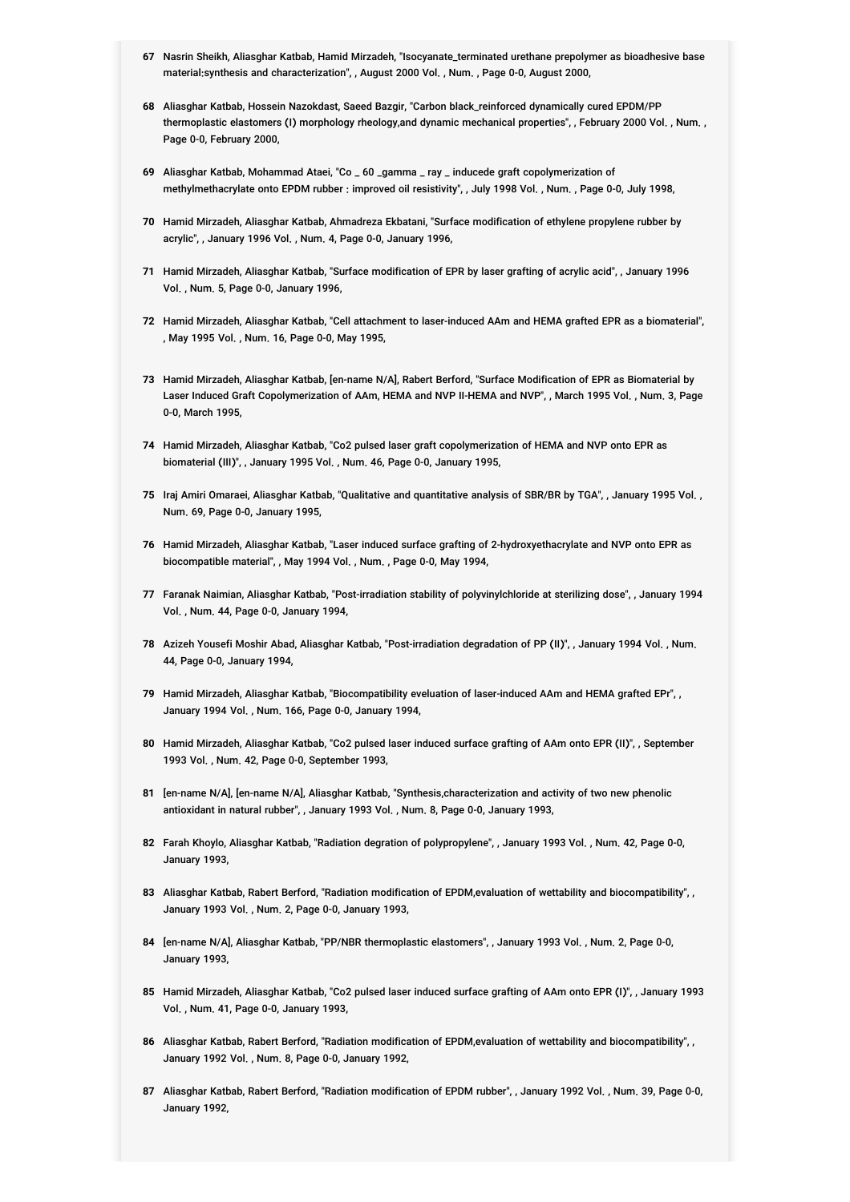- **67** Nasrin Sheikh, Aliasghar Katbab, Hamid Mirzadeh, "Isocyanate\_terminated urethane prepolymer as bioadhesive base material:synthesis and characterization", , August 2000 Vol. , Num. , Page 0-0, August 2000,
- **68** Aliasghar Katbab, Hossein Nazokdast, Saeed Bazgir, "Carbon black\_reinforced dynamically cured EPDM/PP thermoplastic elastomers (I) morphology rheology,and dynamic mechanical properties", , February 2000 Vol. , Num. , Page 0-0, February 2000,
- **69** Aliasghar Katbab, Mohammad Ataei, "Co \_ 60 \_gamma \_ ray \_ inducede graft copolymerization of methylmethacrylate onto EPDM rubber : improved oil resistivity", , July 1998 Vol. , Num. , Page 0-0, July 1998,
- **70** Hamid Mirzadeh, Aliasghar Katbab, Ahmadreza Ekbatani, "Surface modification of ethylene propylene rubber by acrylic", , January 1996 Vol. , Num. 4, Page 0-0, January 1996,
- **71** Hamid Mirzadeh, Aliasghar Katbab, "Surface modification of EPR by laser grafting of acrylic acid", , January 1996 Vol. , Num. 5, Page 0-0, January 1996,
- **72** Hamid Mirzadeh, Aliasghar Katbab, "Cell attachment to laser-induced AAm and HEMA grafted EPR as a biomaterial", , May 1995 Vol. , Num. 16, Page 0-0, May 1995,
- **73** Hamid Mirzadeh, Aliasghar Katbab, [en-name N/A], Rabert Berford, "Surface Modification of EPR as Biomaterial by Laser Induced Graft Copolymerization of AAm, HEMA and NVP II-HEMA and NVP", , March 1995 Vol., Num. 3, Page 0-0, March 1995,
- **74** Hamid Mirzadeh, Aliasghar Katbab, "Co2 pulsed laser graft copolymerization of HEMA and NVP onto EPR as biomaterial (III)", , January 1995 Vol. , Num. 46, Page 0-0, January 1995,
- **75** Iraj Amiri Omaraei, Aliasghar Katbab, "Qualitative and quantitative analysis of SBR/BR by TGA", , January 1995 Vol. , Num. 69, Page 0-0, January 1995,
- **76** Hamid Mirzadeh, Aliasghar Katbab, "Laser induced surface grafting of 2-hydroxyethacrylate and NVP onto EPR as biocompatible material", , May 1994 Vol. , Num. , Page 0-0, May 1994,
- **77** Faranak Naimian, Aliasghar Katbab, "Post-irradiation stability of polyvinylchloride at sterilizing dose", , January 1994 Vol. , Num. 44, Page 0-0, January 1994,
- **78** Azizeh Yousefi Moshir Abad, Aliasghar Katbab, "Post-irradiation degradation of PP (II)", , January 1994 Vol. , Num. 44, Page 0-0, January 1994,
- **79** Hamid Mirzadeh, Aliasghar Katbab, "Biocompatibility eveluation of laser-induced AAm and HEMA grafted EPr", , January 1994 Vol. , Num. 166, Page 0-0, January 1994,
- **80** Hamid Mirzadeh, Aliasghar Katbab, "Co2 pulsed laser induced surface grafting of AAm onto EPR (II)", , September 1993 Vol. , Num. 42, Page 0-0, September 1993,
- **81** [en-name N/A], [en-name N/A], Aliasghar Katbab, "Synthesis,characterization and activity of two new phenolic antioxidant in natural rubber", , January 1993 Vol. , Num. 8, Page 0-0, January 1993,
- **82** Farah Khoylo, Aliasghar Katbab, "Radiation degration of polypropylene", , January 1993 Vol. , Num. 42, Page 0-0, January 1993,
- **83** Aliasghar Katbab, Rabert Berford, "Radiation modification of EPDM,evaluation of wettability and biocompatibility", , January 1993 Vol. , Num. 2, Page 0-0, January 1993,
- **84** [en-name N/A], Aliasghar Katbab, "PP/NBR thermoplastic elastomers", , January 1993 Vol. , Num. 2, Page 0-0, January 1993,
- **85** Hamid Mirzadeh, Aliasghar Katbab, "Co2 pulsed laser induced surface grafting of AAm onto EPR (I)", , January 1993 Vol. , Num. 41, Page 0-0, January 1993,
- **86** Aliasghar Katbab, Rabert Berford, "Radiation modification of EPDM,evaluation of wettability and biocompatibility", , January 1992 Vol. , Num. 8, Page 0-0, January 1992,
- **87** Aliasghar Katbab, Rabert Berford, "Radiation modification of EPDM rubber", , January 1992 Vol. , Num. 39, Page 0-0, January 1992,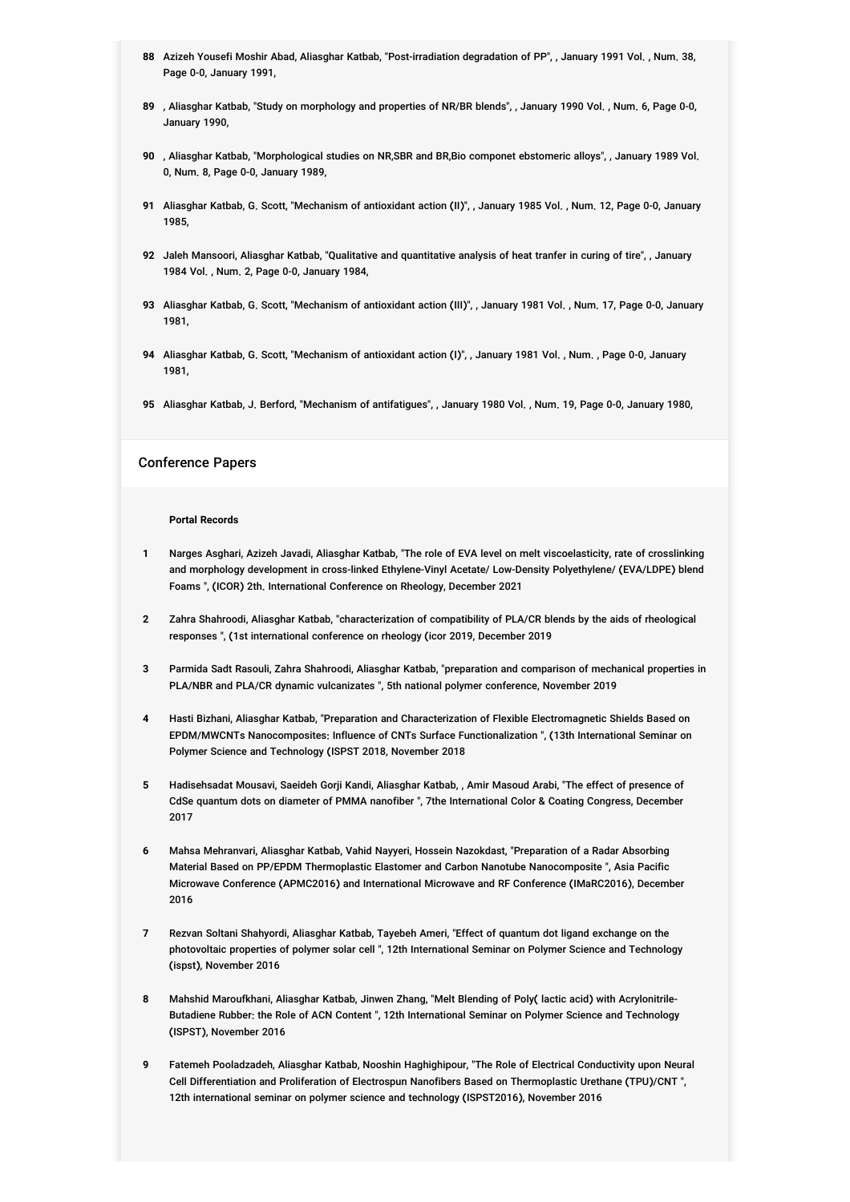- **88** Azizeh Yousefi Moshir Abad, Aliasghar Katbab, "Post-irradiation degradation of PP", , January 1991 Vol. , Num. 38, Page 0-0, January 1991,
- **89** , Aliasghar Katbab, "Study on morphology and properties of NR/BR blends", , January 1990 Vol. , Num. 6, Page 0-0, January 1990,
- **90** , Aliasghar Katbab, "Morphological studies on NR,SBR and BR,Bio componet ebstomeric alloys", , January 1989 Vol. 0, Num. 8, Page 0-0, January 1989,
- **91** Aliasghar Katbab, G. Scott, "Mechanism of antioxidant action (II)", , January 1985 Vol. , Num. 12, Page 0-0, January 1985,
- **92** Jaleh Mansoori, Aliasghar Katbab, "Qualitative and quantitative analysis of heat tranfer in curing of tire", , January 1984 Vol. , Num. 2, Page 0-0, January 1984,
- **93** Aliasghar Katbab, G. Scott, "Mechanism of antioxidant action (III)", , January 1981 Vol. , Num. 17, Page 0-0, January 1981,
- **94** Aliasghar Katbab, G. Scott, "Mechanism of antioxidant action (I)", , January 1981 Vol. , Num. , Page 0-0, January 1981,
- **95** Aliasghar Katbab, J. Berford, "Mechanism of antifatigues", , January 1980 Vol. , Num. 19, Page 0-0, January 1980,

#### Conference Papers

#### **Portal Records**

- **1** Narges Asghari, Azizeh Javadi, Aliasghar Katbab, "The role of EVA level on melt viscoelasticity, rate of crosslinking and morphology development in cross-linked Ethylene-Vinyl Acetate/ Low-Density Polyethylene/ (EVA/LDPE) blend Foams ", (ICOR) 2th. International Conference on Rheology, December 2021
- **2** Zahra Shahroodi, Aliasghar Katbab, "characterization of compatibility of PLA/CR blends by the aids of rheological responses ", (1st international conference on rheology (icor 2019, December 2019
- **3** Parmida Sadt Rasouli, Zahra Shahroodi, Aliasghar Katbab, "preparation and comparison of mechanical properties in PLA/NBR and PLA/CR dynamic vulcanizates ", 5th national polymer conference, November 2019
- **4** Hasti Bizhani, Aliasghar Katbab, "Preparation and Characterization of Flexible Electromagnetic Shields Based on EPDM/MWCNTs Nanocomposites: Influence of CNTs Surface Functionalization ", (13th International Seminar on Polymer Science and Technology (ISPST 2018, November 2018
- **5** Hadisehsadat Mousavi, Saeideh Gorji Kandi, Aliasghar Katbab, , Amir Masoud Arabi, "The effect of presence of CdSe quantum dots on diameter of PMMA nanofiber ", 7the International Color & Coating Congress, December 2017
- **6** Mahsa Mehranvari, Aliasghar Katbab, Vahid Nayyeri, Hossein Nazokdast, "Preparation of a Radar Absorbing Material Based on PP/EPDM Thermoplastic Elastomer and Carbon Nanotube Nanocomposite ", Asia Pacific Microwave Conference (APMC2016) and International Microwave and RF Conference (IMaRC2016), December 2016
- **7** Rezvan Soltani Shahyordi, Aliasghar Katbab, Tayebeh Ameri, "Effect of quantum dot ligand exchange on the photovoltaic properties of polymer solar cell ", 12th International Seminar on Polymer Science and Technology (ispst), November 2016
- **8** Mahshid Maroufkhani, Aliasghar Katbab, Jinwen Zhang, "Melt Blending of Poly( lactic acid) with Acrylonitrile-Butadiene Rubber: the Role of ACN Content ", 12th International Seminar on Polymer Science and Technology (ISPST), November 2016
- **9** Fatemeh Pooladzadeh, Aliasghar Katbab, Nooshin Haghighipour, "The Role of Electrical Conductivity upon Neural Cell Differentiation and Proliferation of Electrospun Nanofibers Based on Thermoplastic Urethane (TPU)/CNT ", 12th international seminar on polymer science and technology (ISPST2016), November 2016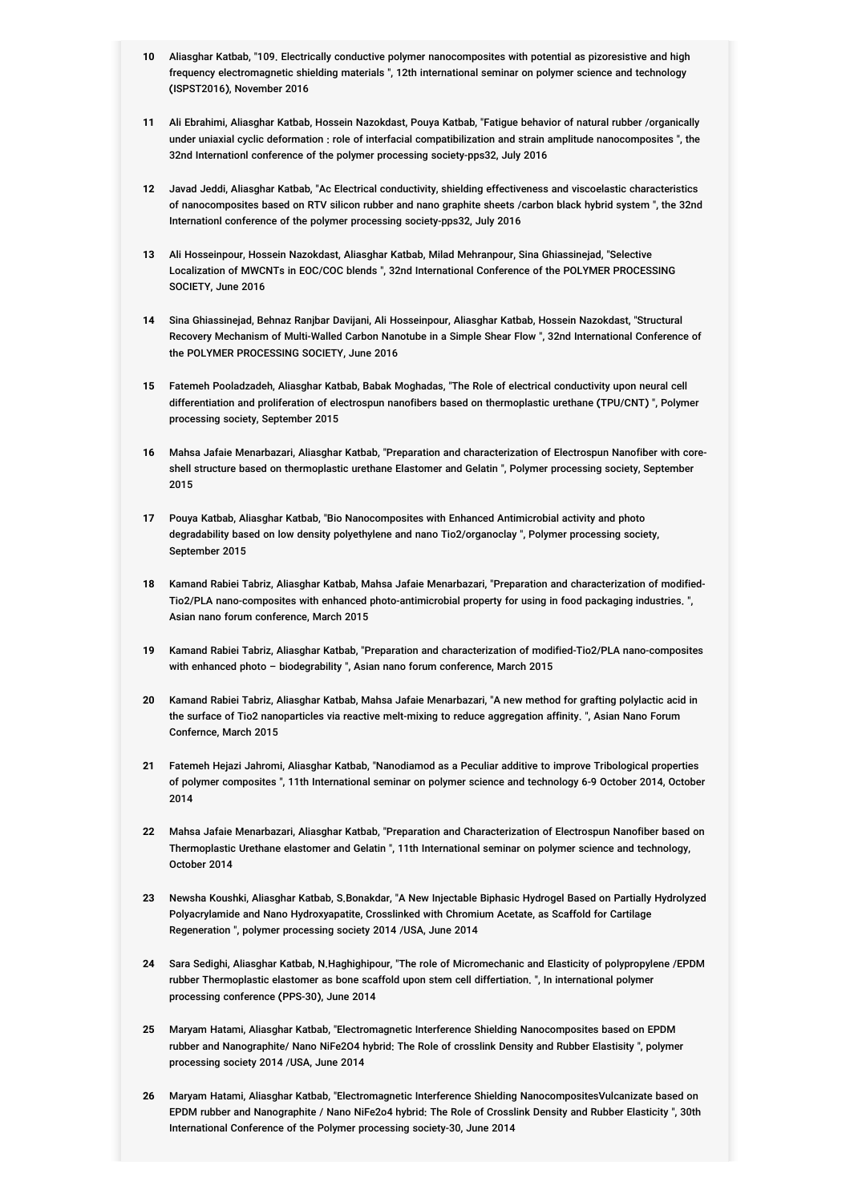- **10** Aliasghar Katbab, "109. Electrically conductive polymer nanocomposites with potential as pizoresistive and high frequency electromagnetic shielding materials ", 12th international seminar on polymer science and technology (ISPST2016), November 2016
- **11** Ali Ebrahimi, Aliasghar Katbab, Hossein Nazokdast, Pouya Katbab, "Fatigue behavior of natural rubber /organically under uniaxial cyclic deformation : role of interfacial compatibilization and strain amplitude nanocomposites ", the 32nd Internationl conference of the polymer processing society-pps32, July 2016
- **12** Javad Jeddi, Aliasghar Katbab, "Ac Electrical conductivity, shielding effectiveness and viscoelastic characteristics of nanocomposites based on RTV silicon rubber and nano graphite sheets /carbon black hybrid system ", the 32nd Internationl conference of the polymer processing society-pps32, July 2016
- **13** Ali Hosseinpour, Hossein Nazokdast, Aliasghar Katbab, Milad Mehranpour, Sina Ghiassinejad, "Selective Localization of MWCNTs in EOC/COC blends ", 32nd International Conference of the POLYMER PROCESSING SOCIETY, June 2016
- **14** Sina Ghiassinejad, Behnaz Ranjbar Davijani, Ali Hosseinpour, Aliasghar Katbab, Hossein Nazokdast, "Structural Recovery Mechanism of Multi-Walled Carbon Nanotube in a Simple Shear Flow ", 32nd International Conference of the POLYMER PROCESSING SOCIETY, June 2016
- **15** Fatemeh Pooladzadeh, Aliasghar Katbab, Babak Moghadas, "The Role of electrical conductivity upon neural cell differentiation and proliferation of electrospun nanofibers based on thermoplastic urethane (TPU/CNT) ", Polymer processing society, September 2015
- **16** Mahsa Jafaie Menarbazari, Aliasghar Katbab, "Preparation and characterization of Electrospun Nanofiber with coreshell structure based on thermoplastic urethane Elastomer and Gelatin ", Polymer processing society, September 2015
- **17** Pouya Katbab, Aliasghar Katbab, "Bio Nanocomposites with Enhanced Antimicrobial activity and photo degradability based on low density polyethylene and nano Tio2/organoclay ", Polymer processing society, September 2015
- **18** Kamand Rabiei Tabriz, Aliasghar Katbab, Mahsa Jafaie Menarbazari, "Preparation and characterization of modified-Tio2/PLA nano-composites with enhanced photo-antimicrobial property for using in food packaging industries. ", Asian nano forum conference, March 2015
- **19** Kamand Rabiei Tabriz, Aliasghar Katbab, "Preparation and characterization of modified-Tio2/PLA nano-composites with enhanced photo - biodegrability ". Asian nano forum conference, March 2015
- **20** Kamand Rabiei Tabriz, Aliasghar Katbab, Mahsa Jafaie Menarbazari, "A new method for grafting polylactic acid in the surface of Tio2 nanoparticles via reactive melt-mixing to reduce aggregation affinity. ", Asian Nano Forum Confernce, March 2015
- **21** Fatemeh Hejazi Jahromi, Aliasghar Katbab, "Nanodiamod as a Peculiar additive to improve Tribological properties of polymer composites ", 11th International seminar on polymer science and technology 6-9 October 2014, October 2014
- **22** Mahsa Jafaie Menarbazari, Aliasghar Katbab, "Preparation and Characterization of Electrospun Nanofiber based on Thermoplastic Urethane elastomer and Gelatin ", 11th International seminar on polymer science and technology, October 2014
- **23** Newsha Koushki, Aliasghar Katbab, S.Bonakdar, "A New Injectable Biphasic Hydrogel Based on Partially Hydrolyzed Polyacrylamide and Nano Hydroxyapatite, Crosslinked with Chromium Acetate, as Scaffold for Cartilage Regeneration ", polymer processing society 2014 /USA, June 2014
- **24** Sara Sedighi, Aliasghar Katbab, N.Haghighipour, "The role of Micromechanic and Elasticity of polypropylene /EPDM rubber Thermoplastic elastomer as bone scaffold upon stem cell differtiation. ", In international polymer processing conference (PPS-30), June 2014
- **25** Maryam Hatami, Aliasghar Katbab, "Electromagnetic Interference Shielding Nanocomposites based on EPDM rubber and Nanographite/ Nano NiFe2O4 hybrid: The Role of crosslink Density and Rubber Elastisity ", polymer processing society 2014 /USA, June 2014
- **26** Maryam Hatami, Aliasghar Katbab, "Electromagnetic Interference Shielding NanocompositesVulcanizate based on EPDM rubber and Nanographite / Nano NiFe2o4 hybrid: The Role of Crosslink Density and Rubber Elasticity ", 30th International Conference of the Polymer processing society-30, June 2014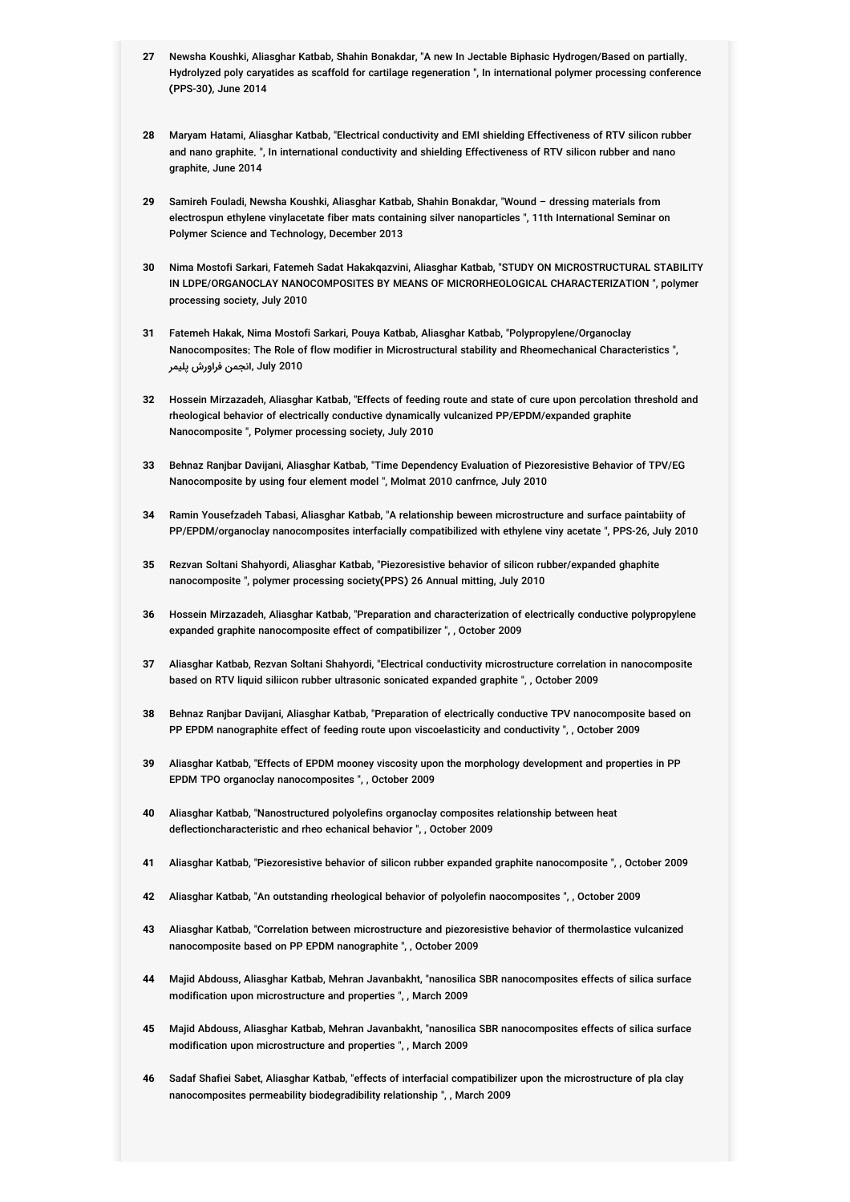- **27** Newsha Koushki, Aliasghar Katbab, Shahin Bonakdar, "A new In Jectable Biphasic Hydrogen/Based on partially. Hydrolyzed poly caryatides as scaffold for cartilage regeneration ", In international polymer processing conference (PPS-30), June 2014
- **28** Maryam Hatami, Aliasghar Katbab, "Electrical conductivity and EMI shielding Effectiveness of RTV silicon rubber and nano graphite. ", In international conductivity and shielding Effectiveness of RTV silicon rubber and nano graphite, June 2014
- **29** Samireh Fouladi, Newsha Koushki, Aliasghar Katbab, Shahin Bonakdar, "Wound dressing materials from electrospun ethylene vinylacetate fiber mats containing silver nanoparticles ", 11th International Seminar on Polymer Science and Technology, December 2013
- **30** Nima Mostofi Sarkari, Fatemeh Sadat Hakakqazvini, Aliasghar Katbab, "STUDY ON MICROSTRUCTURAL STABILITY IN LDPE/ORGANOCLAY NANOCOMPOSITES BY MEANS OF MICRORHEOLOGICAL CHARACTERIZATION ", polymer processing society, July 2010
- **31** Fatemeh Hakak, Nima Mostofi Sarkari, Pouya Katbab, Aliasghar Katbab, "Polypropylene/Organoclay Nanocomposites: The Role of flow modifier in Microstructural stability and Rheomechanical Characteristics ", 2010 July ,انجمن فراورش پلیمر
- **32** Hossein Mirzazadeh, Aliasghar Katbab, "Effects of feeding route and state of cure upon percolation threshold and rheological behavior of electrically conductive dynamically vulcanized PP/EPDM/expanded graphite Nanocomposite ", Polymer processing society, July 2010
- **33** Behnaz Ranjbar Davijani, Aliasghar Katbab, "Time Dependency Evaluation of Piezoresistive Behavior of TPV/EG Nanocomposite by using four element model ", Molmat 2010 canfrnce, July 2010
- **34** Ramin Yousefzadeh Tabasi, Aliasghar Katbab, "A relationship beween microstructure and surface paintabiity of PP/EPDM/organoclay nanocomposites interfacially compatibilized with ethylene viny acetate ", PPS-26, July 2010
- **35** Rezvan Soltani Shahyordi, Aliasghar Katbab, "Piezoresistive behavior of silicon rubber/expanded ghaphite nanocomposite ", polymer processing society(PPS) 26 Annual mitting, July 2010
- **36** Hossein Mirzazadeh, Aliasghar Katbab, "Preparation and characterization of electrically conductive polypropylene expanded graphite nanocomposite effect of compatibilizer ", , October 2009
- **37** Aliasghar Katbab, Rezvan Soltani Shahyordi, "Electrical conductivity microstructure correlation in nanocomposite based on RTV liquid siliicon rubber ultrasonic sonicated expanded graphite ", , October 2009
- **38** Behnaz Ranjbar Davijani, Aliasghar Katbab, "Preparation of electrically conductive TPV nanocomposite based on PP EPDM nanographite effect of feeding route upon viscoelasticity and conductivity ", , October 2009
- **39** Aliasghar Katbab, "Effects of EPDM mooney viscosity upon the morphology development and properties in PP EPDM TPO organoclay nanocomposites ", , October 2009
- **40** Aliasghar Katbab, "Nanostructured polyolefins organoclay composites relationship between heat deflectioncharacteristic and rheo echanical behavior ", , October 2009
- **41** Aliasghar Katbab, "Piezoresistive behavior of silicon rubber expanded graphite nanocomposite ", , October 2009
- **42** Aliasghar Katbab, "An outstanding rheological behavior of polyolefin naocomposites ", , October 2009
- **43** Aliasghar Katbab, "Correlation between microstructure and piezoresistive behavior of thermolastice vulcanized nanocomposite based on PP EPDM nanographite ", , October 2009
- **44** Majid Abdouss, Aliasghar Katbab, Mehran Javanbakht, "nanosilica SBR nanocomposites effects of silica surface modification upon microstructure and properties ", , March 2009
- **45** Majid Abdouss, Aliasghar Katbab, Mehran Javanbakht, "nanosilica SBR nanocomposites effects of silica surface modification upon microstructure and properties ", , March 2009
- **46** Sadaf Shafiei Sabet, Aliasghar Katbab, "effects of interfacial compatibilizer upon the microstructure of pla clay nanocomposites permeability biodegradibility relationship ", , March 2009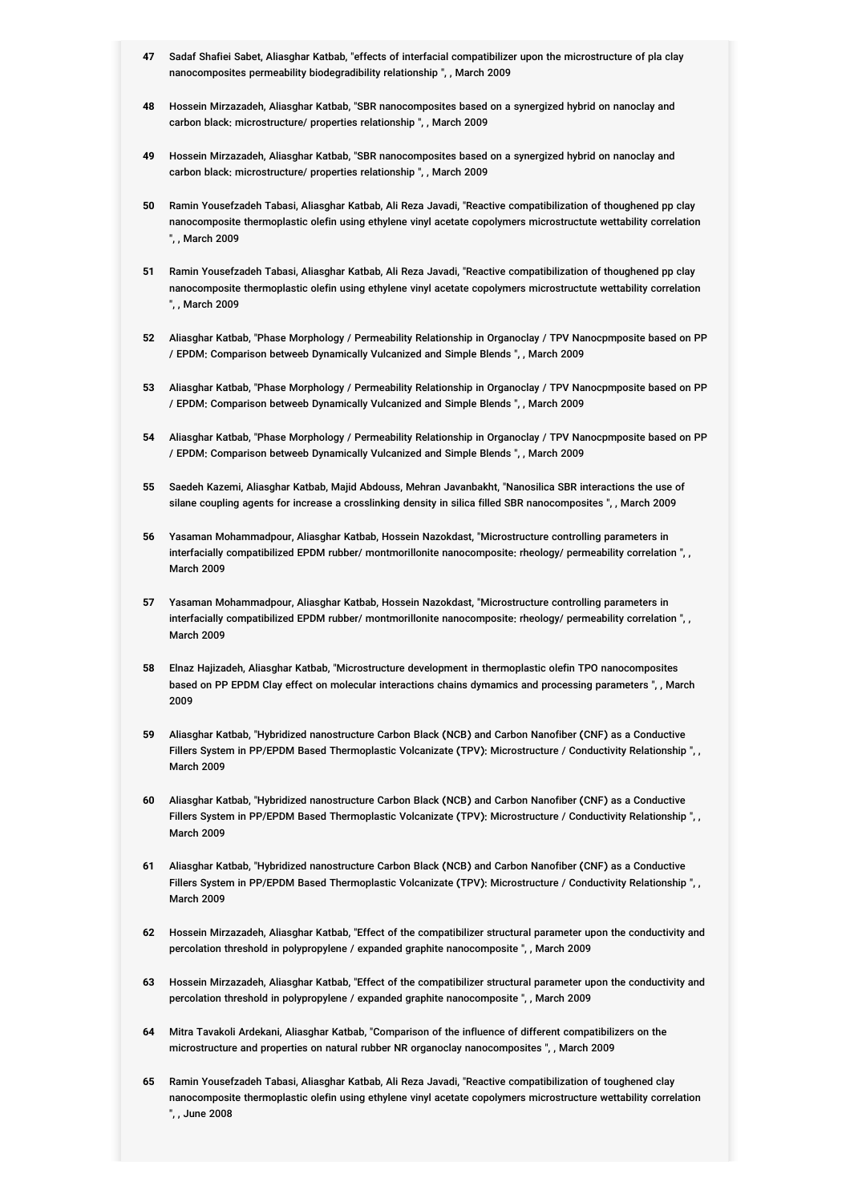- **47** Sadaf Shafiei Sabet, Aliasghar Katbab, "effects of interfacial compatibilizer upon the microstructure of pla clay nanocomposites permeability biodegradibility relationship ", , March 2009
- **48** Hossein Mirzazadeh, Aliasghar Katbab, "SBR nanocomposites based on a synergized hybrid on nanoclay and carbon black: microstructure/ properties relationship ", , March 2009
- **49** Hossein Mirzazadeh, Aliasghar Katbab, "SBR nanocomposites based on a synergized hybrid on nanoclay and carbon black: microstructure/ properties relationship ", , March 2009
- **50** Ramin Yousefzadeh Tabasi, Aliasghar Katbab, Ali Reza Javadi, "Reactive compatibilization of thoughened pp clay nanocomposite thermoplastic olefin using ethylene vinyl acetate copolymers microstructute wettability correlation ", , March 2009
- **51** Ramin Yousefzadeh Tabasi, Aliasghar Katbab, Ali Reza Javadi, "Reactive compatibilization of thoughened pp clay nanocomposite thermoplastic olefin using ethylene vinyl acetate copolymers microstructute wettability correlation ", , March 2009
- **52** Aliasghar Katbab, "Phase Morphology / Permeability Relationship in Organoclay / TPV Nanocpmposite based on PP / EPDM: Comparison betweeb Dynamically Vulcanized and Simple Blends ", , March 2009
- **53** Aliasghar Katbab, "Phase Morphology / Permeability Relationship in Organoclay / TPV Nanocpmposite based on PP / EPDM: Comparison betweeb Dynamically Vulcanized and Simple Blends ", , March 2009
- **54** Aliasghar Katbab, "Phase Morphology / Permeability Relationship in Organoclay / TPV Nanocpmposite based on PP / EPDM: Comparison betweeb Dynamically Vulcanized and Simple Blends ", , March 2009
- **55** Saedeh Kazemi, Aliasghar Katbab, Majid Abdouss, Mehran Javanbakht, "Nanosilica SBR interactions the use of silane coupling agents for increase a crosslinking density in silica filled SBR nanocomposites ", , March 2009
- **56** Yasaman Mohammadpour, Aliasghar Katbab, Hossein Nazokdast, "Microstructure controlling parameters in interfacially compatibilized EPDM rubber/ montmorillonite nanocomposite: rheology/ permeability correlation ", , March 2009
- **57** Yasaman Mohammadpour, Aliasghar Katbab, Hossein Nazokdast, "Microstructure controlling parameters in interfacially compatibilized EPDM rubber/ montmorillonite nanocomposite: rheology/ permeability correlation ", , March 2009
- **58** Elnaz Hajizadeh, Aliasghar Katbab, "Microstructure development in thermoplastic olefin TPO nanocomposites based on PP EPDM Clay effect on molecular interactions chains dymamics and processing parameters ", , March 2009
- **59** Aliasghar Katbab, "Hybridized nanostructure Carbon Black (NCB) and Carbon Nanofiber (CNF) as a Conductive Fillers System in PP/EPDM Based Thermoplastic Volcanizate (TPV): Microstructure / Conductivity Relationship ", , March 2009
- **60** Aliasghar Katbab, "Hybridized nanostructure Carbon Black (NCB) and Carbon Nanofiber (CNF) as a Conductive Fillers System in PP/EPDM Based Thermoplastic Volcanizate (TPV): Microstructure / Conductivity Relationship ", , March 2009
- **61** Aliasghar Katbab, "Hybridized nanostructure Carbon Black (NCB) and Carbon Nanofiber (CNF) as a Conductive Fillers System in PP/EPDM Based Thermoplastic Volcanizate (TPV): Microstructure / Conductivity Relationship ", , March 2009
- **62** Hossein Mirzazadeh, Aliasghar Katbab, "Effect of the compatibilizer structural parameter upon the conductivity and percolation threshold in polypropylene / expanded graphite nanocomposite ", , March 2009
- **63** Hossein Mirzazadeh, Aliasghar Katbab, "Effect of the compatibilizer structural parameter upon the conductivity and percolation threshold in polypropylene / expanded graphite nanocomposite ", , March 2009
- **64** Mitra Tavakoli Ardekani, Aliasghar Katbab, "Comparison of the influence of different compatibilizers on the microstructure and properties on natural rubber NR organoclay nanocomposites ", , March 2009
- **65** Ramin Yousefzadeh Tabasi, Aliasghar Katbab, Ali Reza Javadi, "Reactive compatibilization of toughened clay nanocomposite thermoplastic olefin using ethylene vinyl acetate copolymers microstructure wettability correlation ", , June 2008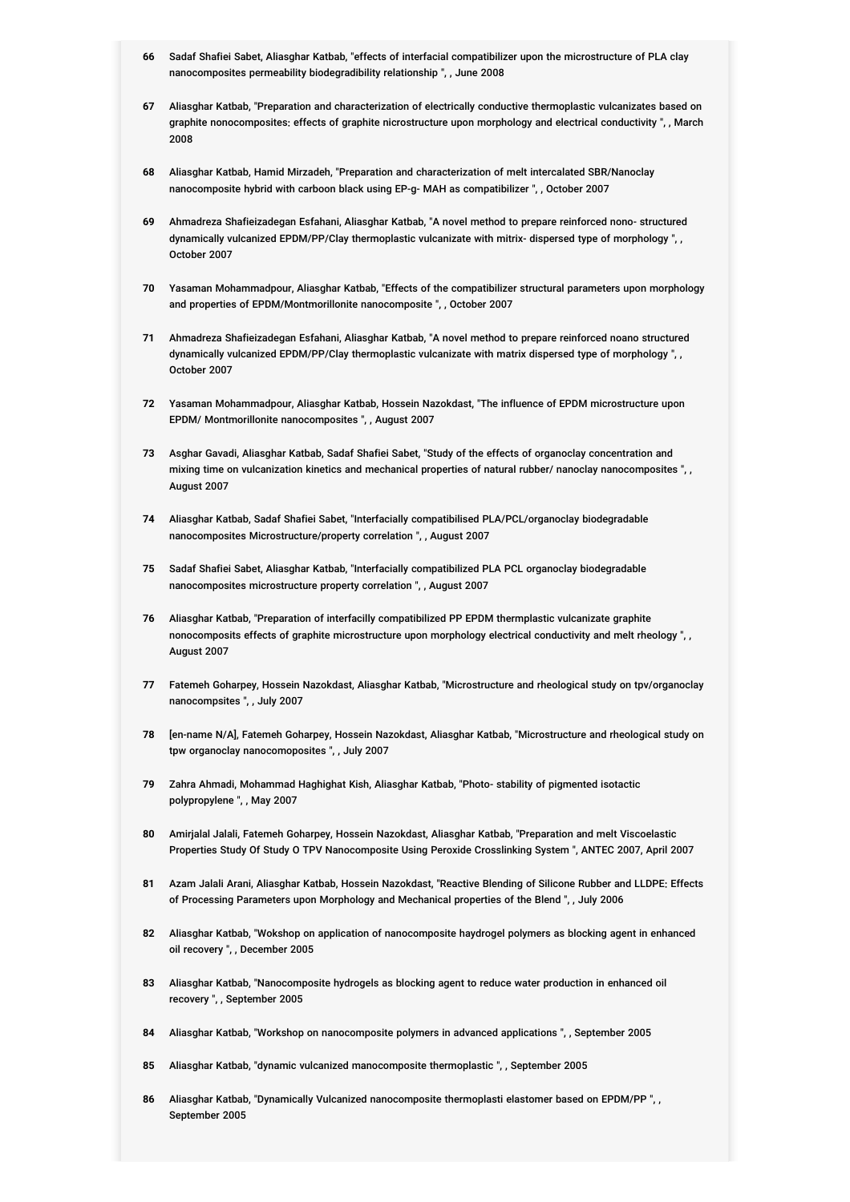- **66** Sadaf Shafiei Sabet, Aliasghar Katbab, "effects of interfacial compatibilizer upon the microstructure of PLA clay nanocomposites permeability biodegradibility relationship ", , June 2008
- **67** Aliasghar Katbab, "Preparation and characterization of electrically conductive thermoplastic vulcanizates based on graphite nonocomposites: effects of graphite nicrostructure upon morphology and electrical conductivity ", , March 2008
- **68** Aliasghar Katbab, Hamid Mirzadeh, "Preparation and characterization of melt intercalated SBR/Nanoclay nanocomposite hybrid with carboon black using EP-g- MAH as compatibilizer ", , October 2007
- **69** Ahmadreza Shafieizadegan Esfahani, Aliasghar Katbab, "A novel method to prepare reinforced nono- structured dynamically vulcanized EPDM/PP/Clay thermoplastic vulcanizate with mitrix- dispersed type of morphology ", , October 2007
- **70** Yasaman Mohammadpour, Aliasghar Katbab, "Effects of the compatibilizer structural parameters upon morphology and properties of EPDM/Montmorillonite nanocomposite ", , October 2007
- **71** Ahmadreza Shafieizadegan Esfahani, Aliasghar Katbab, "A novel method to prepare reinforced noano structured dynamically vulcanized EPDM/PP/Clay thermoplastic vulcanizate with matrix dispersed type of morphology ", , October 2007
- **72** Yasaman Mohammadpour, Aliasghar Katbab, Hossein Nazokdast, "The influence of EPDM microstructure upon EPDM/ Montmorillonite nanocomposites ", , August 2007
- **73** Asghar Gavadi, Aliasghar Katbab, Sadaf Shafiei Sabet, "Study of the effects of organoclay concentration and mixing time on vulcanization kinetics and mechanical properties of natural rubber/ nanoclay nanocomposites ", , August 2007
- **74** Aliasghar Katbab, Sadaf Shafiei Sabet, "Interfacially compatibilised PLA/PCL/organoclay biodegradable nanocomposites Microstructure/property correlation ", , August 2007
- **75** Sadaf Shafiei Sabet, Aliasghar Katbab, "Interfacially compatibilized PLA PCL organoclay biodegradable nanocomposites microstructure property correlation ", , August 2007
- **76** Aliasghar Katbab, "Preparation of interfacilly compatibilized PP EPDM thermplastic vulcanizate graphite nonocomposits effects of graphite microstructure upon morphology electrical conductivity and melt rheology ", , August 2007
- **77** Fatemeh Goharpey, Hossein Nazokdast, Aliasghar Katbab, "Microstructure and rheological study on tpv/organoclay nanocompsites ", , July 2007
- **78** [en-name N/A], Fatemeh Goharpey, Hossein Nazokdast, Aliasghar Katbab, "Microstructure and rheological study on tpw organoclay nanocomoposites ", , July 2007
- **79** Zahra Ahmadi, Mohammad Haghighat Kish, Aliasghar Katbab, "Photo- stability of pigmented isotactic polypropylene ", , May 2007
- **80** Amirjalal Jalali, Fatemeh Goharpey, Hossein Nazokdast, Aliasghar Katbab, "Preparation and melt Viscoelastic Properties Study Of Study O TPV Nanocomposite Using Peroxide Crosslinking System ", ANTEC 2007, April 2007
- **81** Azam Jalali Arani, Aliasghar Katbab, Hossein Nazokdast, "Reactive Blending of Silicone Rubber and LLDPE: Effects of Processing Parameters upon Morphology and Mechanical properties of the Blend ", , July 2006
- **82** Aliasghar Katbab, "Wokshop on application of nanocomposite haydrogel polymers as blocking agent in enhanced oil recovery ", , December 2005
- **83** Aliasghar Katbab, "Nanocomposite hydrogels as blocking agent to reduce water production in enhanced oil recovery ", , September 2005
- **84** Aliasghar Katbab, "Workshop on nanocomposite polymers in advanced applications ", , September 2005
- **85** Aliasghar Katbab, "dynamic vulcanized manocomposite thermoplastic ", , September 2005
- **86** Aliasghar Katbab, "Dynamically Vulcanized nanocomposite thermoplasti elastomer based on EPDM/PP ", , September 2005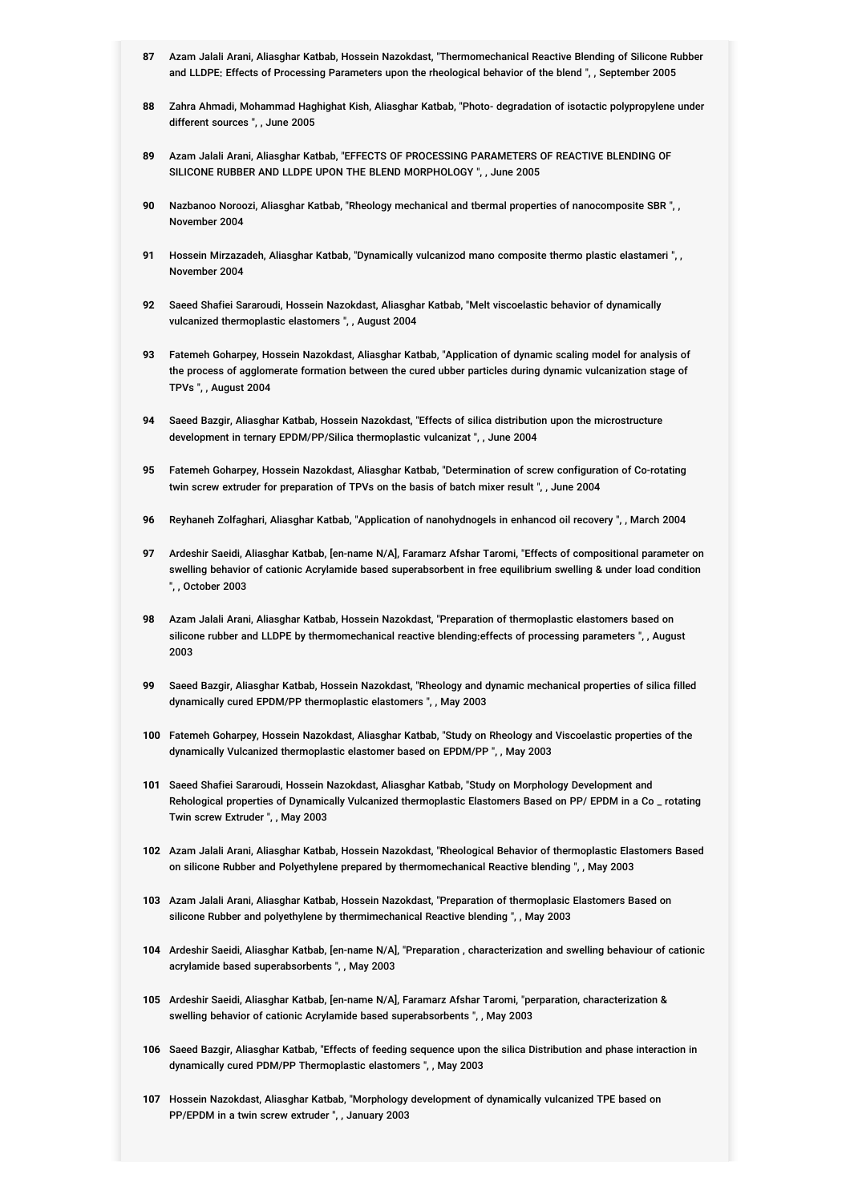- **87** Azam Jalali Arani, Aliasghar Katbab, Hossein Nazokdast, "Thermomechanical Reactive Blending of Silicone Rubber and LLDPE: Effects of Processing Parameters upon the rheological behavior of the blend ", , September 2005
- **88** Zahra Ahmadi, Mohammad Haghighat Kish, Aliasghar Katbab, "Photo- degradation of isotactic polypropylene under different sources ", , June 2005
- **89** Azam Jalali Arani, Aliasghar Katbab, "EFFECTS OF PROCESSING PARAMETERS OF REACTIVE BLENDING OF SILICONE RUBBER AND LLDPE UPON THE BLEND MORPHOLOGY ", , June 2005
- **90** Nazbanoo Noroozi, Aliasghar Katbab, "Rheology mechanical and tbermal properties of nanocomposite SBR ", , November 2004
- **91** Hossein Mirzazadeh, Aliasghar Katbab, "Dynamically vulcanizod mano composite thermo plastic elastameri ", , November 2004
- **92** Saeed Shafiei Sararoudi, Hossein Nazokdast, Aliasghar Katbab, "Melt viscoelastic behavior of dynamically vulcanized thermoplastic elastomers ", , August 2004
- **93** Fatemeh Goharpey, Hossein Nazokdast, Aliasghar Katbab, "Application of dynamic scaling model for analysis of the process of agglomerate formation between the cured ubber particles during dynamic vulcanization stage of TPVs ", , August 2004
- **94** Saeed Bazgir, Aliasghar Katbab, Hossein Nazokdast, "Effects of silica distribution upon the microstructure development in ternary EPDM/PP/Silica thermoplastic vulcanizat ", , June 2004
- **95** Fatemeh Goharpey, Hossein Nazokdast, Aliasghar Katbab, "Determination of screw configuration of Co-rotating twin screw extruder for preparation of TPVs on the basis of batch mixer result ", , June 2004
- **96** Reyhaneh Zolfaghari, Aliasghar Katbab, "Application of nanohydnogels in enhancod oil recovery ", , March 2004
- **97** Ardeshir Saeidi, Aliasghar Katbab, [en-name N/A], Faramarz Afshar Taromi, "Effects of compositional parameter on swelling behavior of cationic Acrylamide based superabsorbent in free equilibrium swelling & under load condition ", , October 2003
- **98** Azam Jalali Arani, Aliasghar Katbab, Hossein Nazokdast, "Preparation of thermoplastic elastomers based on silicone rubber and LLDPE by thermomechanical reactive blending:effects of processing parameters ", , August 2003
- **99** Saeed Bazgir, Aliasghar Katbab, Hossein Nazokdast, "Rheology and dynamic mechanical properties of silica filled dynamically cured EPDM/PP thermoplastic elastomers ", , May 2003
- **100** Fatemeh Goharpey, Hossein Nazokdast, Aliasghar Katbab, "Study on Rheology and Viscoelastic properties of the dynamically Vulcanized thermoplastic elastomer based on EPDM/PP ", , May 2003
- **101** Saeed Shafiei Sararoudi, Hossein Nazokdast, Aliasghar Katbab, "Study on Morphology Development and Rehological properties of Dynamically Vulcanized thermoplastic Elastomers Based on PP/ EPDM in a Co \_ rotating Twin screw Extruder ", , May 2003
- **102** Azam Jalali Arani, Aliasghar Katbab, Hossein Nazokdast, "Rheological Behavior of thermoplastic Elastomers Based on silicone Rubber and Polyethylene prepared by thermomechanical Reactive blending ", , May 2003
- **103** Azam Jalali Arani, Aliasghar Katbab, Hossein Nazokdast, "Preparation of thermoplasic Elastomers Based on silicone Rubber and polyethylene by thermimechanical Reactive blending ", , May 2003
- **104** Ardeshir Saeidi, Aliasghar Katbab, [en-name N/A], "Preparation , characterization and swelling behaviour of cationic acrylamide based superabsorbents ", , May 2003
- **105** Ardeshir Saeidi, Aliasghar Katbab, [en-name N/A], Faramarz Afshar Taromi, "perparation, characterization & swelling behavior of cationic Acrylamide based superabsorbents ", , May 2003
- **106** Saeed Bazgir, Aliasghar Katbab, "Effects of feeding sequence upon the silica Distribution and phase interaction in dynamically cured PDM/PP Thermoplastic elastomers ", , May 2003
- **107** Hossein Nazokdast, Aliasghar Katbab, "Morphology development of dynamically vulcanized TPE based on PP/EPDM in a twin screw extruder ", , January 2003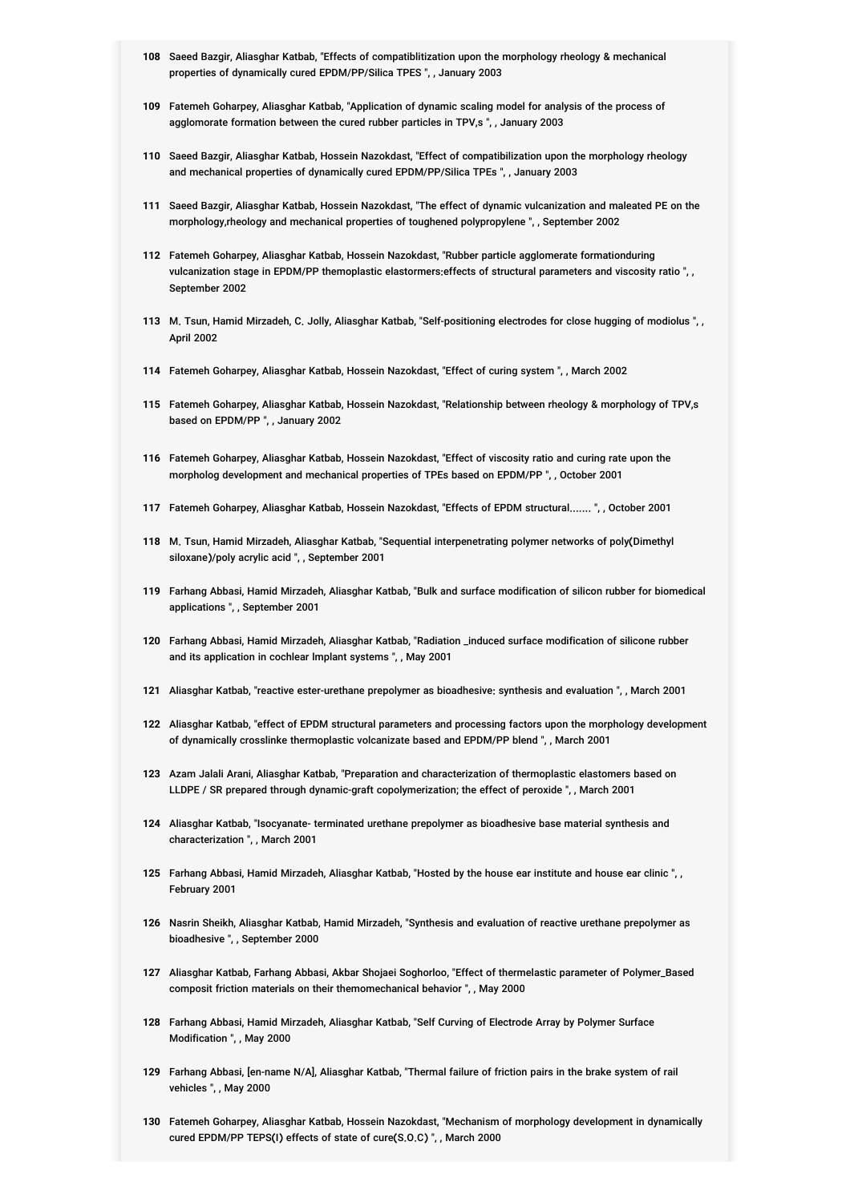- **108** Saeed Bazgir, Aliasghar Katbab, "Effects of compatiblitization upon the morphology rheology & mechanical properties of dynamically cured EPDM/PP/Silica TPES ", , January 2003
- **109** Fatemeh Goharpey, Aliasghar Katbab, "Application of dynamic scaling model for analysis of the process of agglomorate formation between the cured rubber particles in TPV,s ", , January 2003
- **110** Saeed Bazgir, Aliasghar Katbab, Hossein Nazokdast, "Effect of compatibilization upon the morphology rheology and mechanical properties of dynamically cured EPDM/PP/Silica TPEs ", , January 2003
- **111** Saeed Bazgir, Aliasghar Katbab, Hossein Nazokdast, "The effect of dynamic vulcanization and maleated PE on the morphology,rheology and mechanical properties of toughened polypropylene ", , September 2002
- **112** Fatemeh Goharpey, Aliasghar Katbab, Hossein Nazokdast, "Rubber particle agglomerate formationduring vulcanization stage in EPDM/PP themoplastic elastormers:effects of structural parameters and viscosity ratio ", , September 2002
- **113** M. Tsun, Hamid Mirzadeh, C. Jolly, Aliasghar Katbab, "Self-positioning electrodes for close hugging of modiolus ", , April 2002
- **114** Fatemeh Goharpey, Aliasghar Katbab, Hossein Nazokdast, "Effect of curing system ", , March 2002
- **115** Fatemeh Goharpey, Aliasghar Katbab, Hossein Nazokdast, "Relationship between rheology & morphology of TPV,s based on EPDM/PP ", , January 2002
- **116** Fatemeh Goharpey, Aliasghar Katbab, Hossein Nazokdast, "Effect of viscosity ratio and curing rate upon the morpholog development and mechanical properties of TPEs based on EPDM/PP ", , October 2001
- **117** Fatemeh Goharpey, Aliasghar Katbab, Hossein Nazokdast, "Effects of EPDM structural....... ", , October 2001
- **118** M. Tsun, Hamid Mirzadeh, Aliasghar Katbab, "Sequential interpenetrating polymer networks of poly(Dimethyl siloxane)/poly acrylic acid ", , September 2001
- **119** Farhang Abbasi, Hamid Mirzadeh, Aliasghar Katbab, "Bulk and surface modification of silicon rubber for biomedical applications ", , September 2001
- **120** Farhang Abbasi, Hamid Mirzadeh, Aliasghar Katbab, "Radiation \_induced surface modification of silicone rubber and its application in cochlear lmplant systems ", , May 2001
- **121** Aliasghar Katbab, "reactive ester-urethane prepolymer as bioadhesive: synthesis and evaluation ", , March 2001
- **122** Aliasghar Katbab, "effect of EPDM structural parameters and processing factors upon the morphology development of dynamically crosslinke thermoplastic volcanizate based and EPDM/PP blend ", , March 2001
- **123** Azam Jalali Arani, Aliasghar Katbab, "Preparation and characterization of thermoplastic elastomers based on LLDPE / SR prepared through dynamic-graft copolymerization; the effect of peroxide ", , March 2001
- **124** Aliasghar Katbab, "Isocyanate- terminated urethane prepolymer as bioadhesive base material synthesis and characterization ", , March 2001
- **125** Farhang Abbasi, Hamid Mirzadeh, Aliasghar Katbab, "Hosted by the house ear institute and house ear clinic ", , February 2001
- **126** Nasrin Sheikh, Aliasghar Katbab, Hamid Mirzadeh, "Synthesis and evaluation of reactive urethane prepolymer as bioadhesive ", , September 2000
- **127** Aliasghar Katbab, Farhang Abbasi, Akbar Shojaei Soghorloo, "Effect of thermelastic parameter of Polymer\_Based composit friction materials on their themomechanical behavior ", , May 2000
- **128** Farhang Abbasi, Hamid Mirzadeh, Aliasghar Katbab, "Self Curving of Electrode Array by Polymer Surface Modification ", , May 2000
- **129** Farhang Abbasi, [en-name N/A], Aliasghar Katbab, "Thermal failure of friction pairs in the brake system of rail vehicles ", , May 2000
- **130** Fatemeh Goharpey, Aliasghar Katbab, Hossein Nazokdast, "Mechanism of morphology development in dynamically cured EPDM/PP TEPS(I) effects of state of cure(S.O.C) ", , March 2000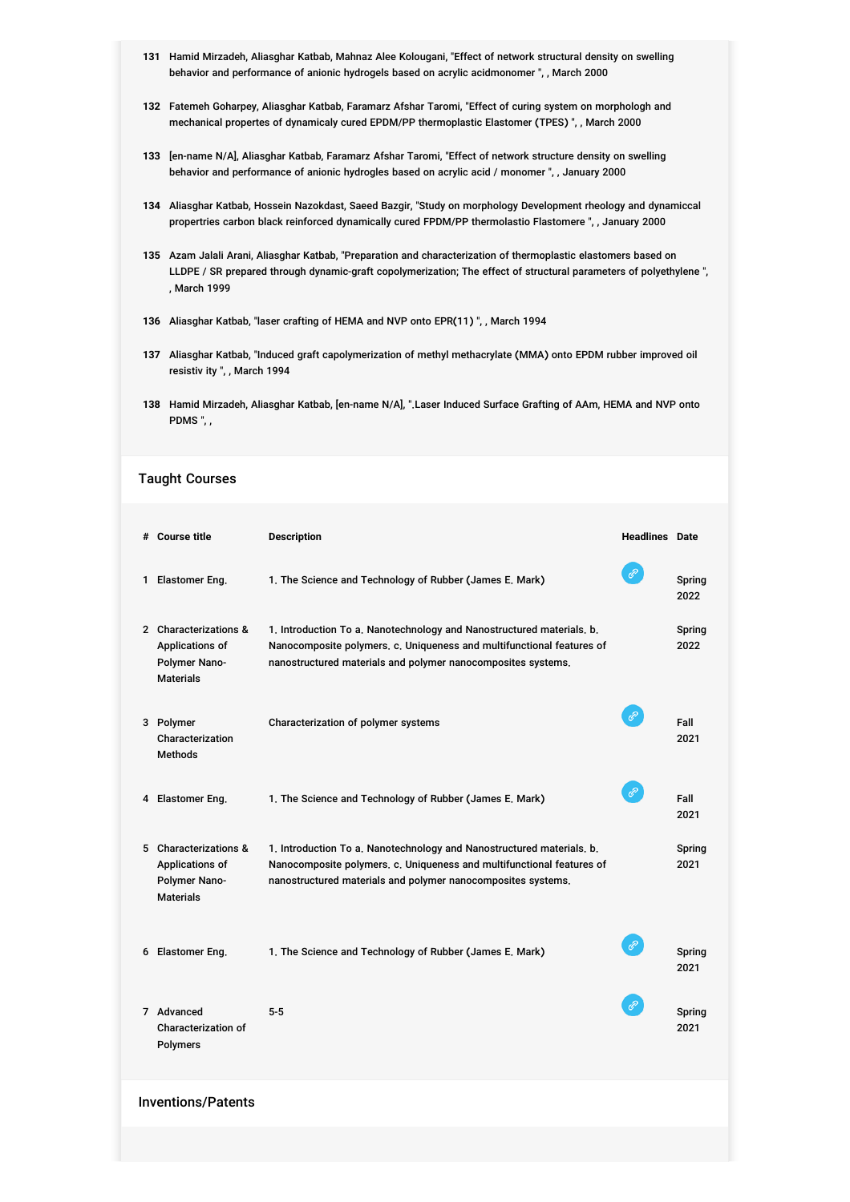- **131** Hamid Mirzadeh, Aliasghar Katbab, Mahnaz Alee Kolougani, "Effect of network structural density on swelling behavior and performance of anionic hydrogels based on acrylic acidmonomer ", , March 2000
- **132** Fatemeh Goharpey, Aliasghar Katbab, Faramarz Afshar Taromi, "Effect of curing system on morphologh and mechanical propertes of dynamicaly cured EPDM/PP thermoplastic Elastomer (TPES) ", , March 2000
- **133** [en-name N/A], Aliasghar Katbab, Faramarz Afshar Taromi, "Effect of network structure density on swelling behavior and performance of anionic hydrogles based on acrylic acid / monomer ", , January 2000
- **134** Aliasghar Katbab, Hossein Nazokdast, Saeed Bazgir, "Study on morphology Development rheology and dynamiccal propertries carbon black reinforced dynamically cured FPDM/PP thermolastio Flastomere ", , January 2000
- **135** Azam Jalali Arani, Aliasghar Katbab, "Preparation and characterization of thermoplastic elastomers based on LLDPE / SR prepared through dynamic-graft copolymerization; The effect of structural parameters of polyethylene ", , March 1999
- **136** Aliasghar Katbab, "laser crafting of HEMA and NVP onto EPR(11) ", , March 1994
- **137** Aliasghar Katbab, "Induced graft capolymerization of methyl methacrylate (MMA) onto EPDM rubber improved oil resistiv ity ", , March 1994
- **138** Hamid Mirzadeh, Aliasghar Katbab, [en-name N/A], ".Laser Induced Surface Grafting of AAm, HEMA and NVP onto PDMS ", ,

#### Taught Courses

|                           | # Course title                                                                | <b>Description</b>                                                                                                                                                                                             | <b>Headlines</b> Date |                |  |
|---------------------------|-------------------------------------------------------------------------------|----------------------------------------------------------------------------------------------------------------------------------------------------------------------------------------------------------------|-----------------------|----------------|--|
|                           | 1 Elastomer Eng.                                                              | 1. The Science and Technology of Rubber (James E. Mark)                                                                                                                                                        | ℰ                     | Spring<br>2022 |  |
|                           | 2 Characterizations &<br>Applications of<br>Polymer Nano-<br><b>Materials</b> | 1. Introduction To a. Nanotechnology and Nanostructured materials. b.<br>Nanocomposite polymers, c. Uniqueness and multifunctional features of<br>nanostructured materials and polymer nanocomposites systems. |                       | Spring<br>2022 |  |
|                           | 3 Polymer<br>Characterization<br><b>Methods</b>                               | Characterization of polymer systems                                                                                                                                                                            | ℰ                     | Fall<br>2021   |  |
|                           | 4 Elastomer Eng.                                                              | 1. The Science and Technology of Rubber (James E. Mark)                                                                                                                                                        | $\mathscr{E}$         | Fall<br>2021   |  |
|                           | 5 Characterizations &<br>Applications of<br>Polymer Nano-<br><b>Materials</b> | 1. Introduction To a. Nanotechnology and Nanostructured materials. b.<br>Nanocomposite polymers, c. Uniqueness and multifunctional features of<br>nanostructured materials and polymer nanocomposites systems. |                       | Spring<br>2021 |  |
|                           | 6 Elastomer Eng.                                                              | 1. The Science and Technology of Rubber (James E. Mark)                                                                                                                                                        | $\mathscr{C}$         | Spring<br>2021 |  |
|                           | 7 Advanced<br><b>Characterization of</b><br><b>Polymers</b>                   | $5 - 5$                                                                                                                                                                                                        | ℰ                     | Spring<br>2021 |  |
| <b>Inventions/Patents</b> |                                                                               |                                                                                                                                                                                                                |                       |                |  |